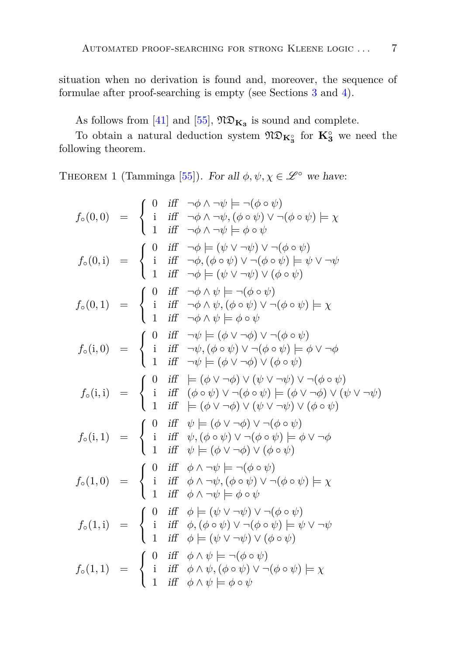situation when no derivation is found and, moreover, the sequence of formulae after proof-searching is empty (see Sections [3](#page-7-0) and [4\)](#page-14-0).

As follows from [\[41\]](#page-32-0) and [\[55\]](#page-33-0),  $\mathfrak{ND}_{\mathbf{K}_3}$  is sound and complete.

<span id="page-6-0"></span>To obtain a natural deduction system  $\mathfrak{N}\mathfrak{D}_{\mathbf{K}_3^{\circ}}$  for  $\mathbf{K}_3^{\circ}$  we need the following theorem.

THEOREM 1 (Tamminga [\[55\]](#page-33-0)). For all  $\phi, \psi, \chi \in \mathscr{L}^{\circ}$  we have:

$$
f_o(0,0) = \begin{cases} 0 & \text{iff } \neg \phi \land \neg \psi \models \neg (\phi \circ \psi) \\ 1 & \text{iff } \neg \phi \land \neg \psi, (\phi \circ \psi) \lor \neg (\phi \circ \psi) \models \chi \\ 1 & \text{iff } \neg \phi \land \neg \psi \models \phi \circ \psi \end{cases}
$$

$$
f_o(0,i) = \begin{cases} 0 & \text{iff } \neg \phi \models (\psi \lor \neg \psi) \lor \neg (\phi \circ \psi) \models \psi \lor \neg \psi \\ 1 & \text{iff } \neg \phi, (\phi \circ \psi) \lor \neg (\phi \circ \psi) \models \psi \lor \neg \psi \end{cases}
$$

$$
f_o(0,1) = \begin{cases} 0 & \text{iff } \neg \phi \land \psi \models (\psi \lor \neg \psi) \lor (\phi \circ \psi) \models \psi \\ 1 & \text{iff } \neg \phi \land \psi \models (\phi \lor \neg \psi) \lor (\phi \circ \psi) \models \chi \\ 1 & \text{iff } \neg \phi \land \psi \models \phi \circ \psi \end{cases}
$$

$$
f_o(i,0) = \begin{cases} 0 & \text{iff } \neg \psi \models (\phi \lor \neg \phi) \lor \neg (\phi \circ \psi) \models \phi \lor \neg \phi \\ 1 & \text{iff } \neg \psi, (\phi \circ \psi) \lor \neg (\phi \circ \psi) \models \phi \lor \neg \phi \end{cases}
$$

$$
f_o(i,i) = \begin{cases} 0 & \text{iff } \neg \psi \models (\phi \lor \neg \phi) \lor (\phi \circ \psi) \models \phi \lor \neg \phi \\ 1 & \text{iff } \neg \psi \models (\phi \lor \neg \phi) \lor (\phi \lor \neg \psi) \lor (\phi \circ \psi) \land \neg (\phi \circ \psi) \land \neg (\phi \circ \psi) \land \neg (\phi \circ \psi) \land \neg (\phi \circ \psi) \land \neg (\phi \circ \psi) \land \neg (\phi \circ \psi) \lor (\phi \lor \neg \psi) \lor (\phi \circ \psi) \land \neg (\phi \circ \psi) \land \neg (\phi \circ \psi) \lor (\phi \lor \neg \psi) \lor (\phi \circ \psi) \land \neg (\phi \circ \psi) \land \neg (\phi \circ \psi) \lor (\phi \circ \psi) \land \neg (\phi \circ \psi) \land \neg (\phi \circ \psi) \land \neg (\phi \
$$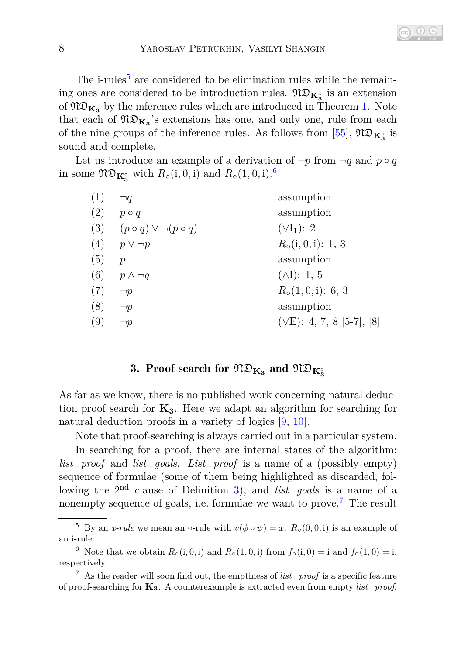The i-rules<sup>[5](#page-7-1)</sup> are considered to be elimination rules while the remaining ones are considered to be introduction rules.  $\mathfrak{N} \mathfrak{D}_{\mathbf{K}_3^{\circ}}$  is an extension of  $\mathfrak{N} \mathfrak{D}_{\mathbf{K}_3}$  by the inference rules which are introduced in Theorem [1.](#page-6-0) Note that each of  $\mathfrak{ND}_{\mathbf{K}_3}$ 's extensions has one, and only one, rule from each of the nine groups of the inference rules. As follows from [\[55\]](#page-33-0),  $\mathfrak{N} \mathfrak{D}_{\mathbf{K}_3^{\circ}}$  is sound and complete.

Let us introduce an example of a derivation of  $\neg p$  from  $\neg q$  and  $p \circ q$ in some  $\mathfrak{N}\mathfrak{D}_{\mathbf{K}_3^{\circ}}$  with  $R_\circ(i, 0, i)$  and  $R_\circ(1, 0, i)$ .<sup>[6](#page-7-2)</sup>

| (1) | ٦q                                      | assumption                 |
|-----|-----------------------------------------|----------------------------|
| (2) | $p \circ q$                             | assumption                 |
|     | (3) $(p \circ q) \vee \neg (p \circ q)$ | $(\forall I_1)$ : 2        |
|     | (4) $p \vee \neg p$                     | $R_0(i,0,i): 1, 3$         |
| (5) | $\boldsymbol{p}$                        | assumption                 |
|     | (6) $p \wedge \neg q$                   | $(\wedge I): 1, 5$         |
| (7) | $\neg p$                                | $R_{\circ}(1,0,i)$ : 6, 3  |
| (8) | $\neg p$                                | assumption                 |
| (9) | $\neg p$                                | $(VE): 4, 7, 8 [5-7], [8]$ |
|     |                                         |                            |

# $3.$  Proof search for  $\mathfrak{ND}_{\mathbf{K}_3}$  and  $\mathfrak{ND}_{\mathbf{K}_3^{\circ}}$

<span id="page-7-0"></span>As far as we know, there is no published work concerning natural deduction proof search for  $K_3$ . Here we adapt an algorithm for searching for natural deduction proofs in a variety of logics  $[9, 10]$  $[9, 10]$ .

Note that proof-searching is always carried out in a particular system. In searching for a proof, there are internal states of the algorithm: *list*−*proof* and *list*−*goals*. *List*−*proof* is a name of a (possibly empty) sequence of formulae (some of them being highlighted as discarded, following the 2nd clause of Definition [3\)](#page-5-0), and *list*−*goals* is a name of a nonempty sequence of goals, i.e. formulae we want to prove.[7](#page-7-3) The result

<span id="page-7-1"></span><sup>&</sup>lt;sup>5</sup> By an *x-rule* we mean an ∘-rule with  $v(\phi \circ \psi) = x$ .  $R_0(0,0,1)$  is an example of an i-rule.

<span id="page-7-2"></span><sup>6</sup> Note that we obtain  $R_{\circ}(i, 0, i)$  and  $R_{\circ}(1, 0, i)$  from  $f_{\circ}(i, 0) = i$  and  $f_{\circ}(1, 0) = i$ , respectively.

<span id="page-7-3"></span><sup>7</sup> As the reader will soon find out, the emptiness of *list*−*proof* is a specific feature of proof-searching for **K3**. A counterexample is extracted even from empty *list*−*proof*.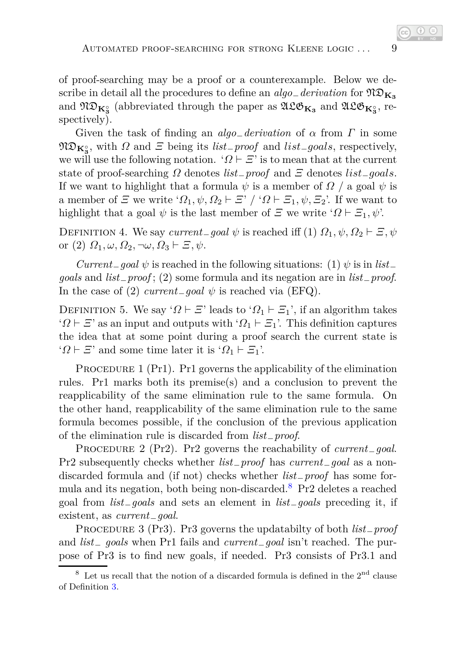of proof-searching may be a proof or a counterexample. Below we describe in detail all the procedures to define an *algo*−*derivation* for ND**K<sup>3</sup>** and  $\mathfrak{ND}_{\mathbf{K}_3^{\circ}}$  (abbreviated through the paper as  $\mathfrak{ALO}_{\mathbf{K}_3}$  and  $\mathfrak{ALO}_{\mathbf{K}_3^{\circ}}$ , respectively).

Given the task of finding an *algo*−*derivation* of *α* from *Γ* in some  $\mathfrak{N} \mathfrak{D}_{\mathbf{K}_3^{\circ}}$ , with *Ω* and *Ξ* being its *list*<sub>−</sub>*proof* and *list*<sub>−</sub>*goals*, respectively, we will use the following notation. ' $\Omega \vdash \Xi$ ' is to mean that at the current state of proof-searching *Ω* denotes *list*−*proof* and *Ξ* denotes *list*−*goals*. If we want to highlight that a formula  $\psi$  is a member of  $\Omega$  / a goal  $\psi$  is a member of *Ξ* we write ' $\Omega_1, \psi, \Omega_2 \vdash \Xi$ ' / ' $\Omega \vdash \Xi_1, \psi, \Xi_2$ '. If we want to highlight that a goal  $\psi$  is the last member of  $\Xi$  we write ' $\Omega \vdash \Xi_1, \psi$ '.

DEFINITION 4. We say *current*<sub>−</sub>*goal*  $\psi$  is reached iff (1)  $\Omega_1, \psi, \Omega_2 \vdash \Xi, \psi$ or (2)  $\Omega_1, \omega, \Omega_2, \neg \omega, \Omega_3 \vdash \Xi, \psi$ .

*Current*<sub>−</sub>*goal*  $\psi$  is reached in the following situations: (1)  $\psi$  is in *list*<sub>−</sub> *goals* and *list*−*proof* ; (2) some formula and its negation are in *list*−*proof*. In the case of (2)  $current_{q}$ *oal*  $\psi$  is reached via (EFQ).

DEFINITION 5. We say ' $\Omega \vdash \Xi$ ' leads to ' $\Omega_1 \vdash \Xi_1$ ', if an algorithm takes ' $Q \vdash \Xi$ ' as an input and outputs with ' $Q_1 \vdash \Xi_1$ '. This definition captures the idea that at some point during a proof search the current state is ' $Q$  ⊢ *Ξ*' and some time later it is ' $Q_1$  ⊢ *Ξ*<sub>1</sub>'.

PROCEDURE 1 (Pr1). Pr1 governs the applicability of the elimination rules. Pr1 marks both its premise(s) and a conclusion to prevent the reapplicability of the same elimination rule to the same formula. On the other hand, reapplicability of the same elimination rule to the same formula becomes possible, if the conclusion of the previous application of the elimination rule is discarded from *list*−*proof*.

PROCEDURE 2 (Pr2). Pr2 governs the reachability of *current*<sub>−</sub>*qoal*. Pr2 subsequently checks whether *list*−*proof* has *current*−*goal* as a nondiscarded formula and (if not) checks whether *list*−*proof* has some for-mula and its negation, both being non-discarded.<sup>[8](#page-8-0)</sup> Pr2 deletes a reached goal from *list*−*goals* and sets an element in *list*−*goals* preceding it, if existent, as *current*−*goal*.

Procedure 3 (Pr3). Pr3 governs the updatabilty of both *list*−*proof* and *list*<sup>−</sup> *goals* when Pr1 fails and *current*−*goal* isn't reached. The purpose of Pr3 is to find new goals, if needed. Pr3 consists of Pr3.1 and

<span id="page-8-0"></span> $^8\,$  Let us recall that the notion of a discarded formula is defined in the  $2^{\rm nd}$  clause of Definition [3.](#page-5-0)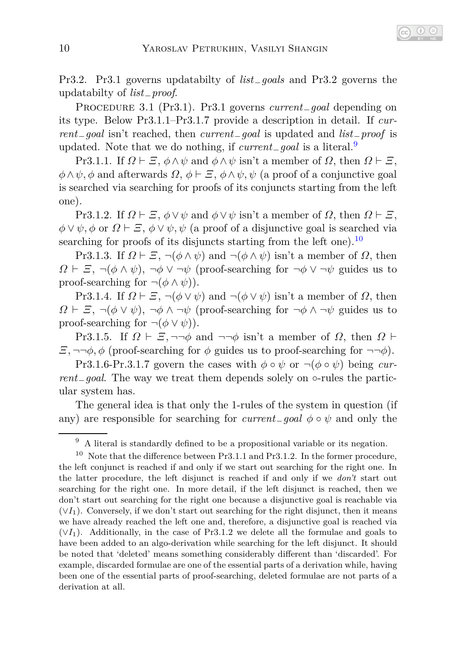Pr3.2. Pr3.1 governs updatabilty of *list*−*goals* and Pr3.2 governs the updatabilty of *list*−*proof*.

Procedure 3.1 (Pr3.1). Pr3.1 governs *current*−*goal* depending on its type. Below Pr3.1.1–Pr3.1.7 provide a description in detail. If *current*−*goal* isn't reached, then *current*−*goal* is updated and *list*−*proof* is updated. Note that we do nothing, if *current*−*goal* is a literal.[9](#page-9-0)

Pr3.1.1. If  $\Omega \vdash \Xi$ ,  $\phi \land \psi$  and  $\phi \land \psi$  isn't a member of  $\Omega$ , then  $\Omega \vdash \Xi$ ,  $\phi \land \psi$ ,  $\phi$  and afterwards  $\Omega$ ,  $\phi \vdash \Xi$ ,  $\phi \land \psi$ ,  $\psi$  (a proof of a conjunctive goal is searched via searching for proofs of its conjuncts starting from the left one).

Pr3.1.2. If  $\Omega \vdash \Xi$ ,  $\phi \vee \psi$  and  $\phi \vee \psi$  isn't a member of  $\Omega$ , then  $\Omega \vdash \Xi$ ,  $\phi \lor \psi$ ,  $\phi$  or  $\Omega \vdash \Xi$ ,  $\phi \lor \psi$ ,  $\psi$  (a proof of a disjunctive goal is searched via searching for proofs of its disjuncts starting from the left one).<sup>[10](#page-9-1)</sup>

Pr3.1.3. If  $\Omega \vdash \Xi$ ,  $\neg(\phi \land \psi)$  and  $\neg(\phi \land \psi)$  isn't a member of  $\Omega$ , then *Ω* **⊢** *Ξ*,  $\neg$ ( $\phi \land \psi$ ),  $\neg \phi \lor \neg \psi$  (proof-searching for  $\neg \phi \lor \neg \psi$  guides us to proof-searching for  $\neg(\phi \land \psi)$ .

Pr3.1.4. If  $\Omega \vdash \Xi$ ,  $\neg(\phi \lor \psi)$  and  $\neg(\phi \lor \psi)$  isn't a member of  $\Omega$ , then *Ω*  $\vdash$  *Ξ*, ¬(*φ* ∨ *ψ*), ¬*φ* ∧ ¬*ψ* (proof-searching for ¬*φ* ∧ ¬*ψ* guides us to proof-searching for  $\neg(\phi \lor \psi)$ .

Pr3.1.5. If  $\Omega \vdash \Xi$ ,  $\neg\neg\phi$  and  $\neg\neg\phi$  isn't a member of  $\Omega$ , then  $\Omega \vdash$ *Ξ*, ¬¬*φ*, *ϕ* (proof-searching for *ϕ* guides us to proof-searching for ¬¬*ϕ*).

Pr3.1.6-Pr.3.1.7 govern the cases with  $\phi \circ \psi$  or  $\neg(\phi \circ \psi)$  being *current*−*goal*. The way we treat them depends solely on ◦-rules the particular system has.

The general idea is that only the 1-rules of the system in question (if any) are responsible for searching for  $current_{q}$  *qoal*  $\phi \circ \psi$  and only the

<span id="page-9-1"></span><span id="page-9-0"></span> $9\,$  A literal is standardly defined to be a propositional variable or its negation.

 $10$  Note that the difference between Pr3.1.1 and Pr3.1.2. In the former procedure, the left conjunct is reached if and only if we start out searching for the right one. In the latter procedure, the left disjunct is reached if and only if we *don't* start out searching for the right one. In more detail, if the left disjunct is reached, then we don't start out searching for the right one because a disjunctive goal is reachable via  $(\forall I_1)$ . Conversely, if we don't start out searching for the right disjunct, then it means we have already reached the left one and, therefore, a disjunctive goal is reached via  $(\forall I_1)$ . Additionally, in the case of Pr3.1.2 we delete all the formulae and goals to have been added to an algo-derivation while searching for the left disjunct. It should be noted that 'deleted' means something considerably different than 'discarded'. For example, discarded formulae are one of the essential parts of a derivation while, having been one of the essential parts of proof-searching, deleted formulae are not parts of a derivation at all.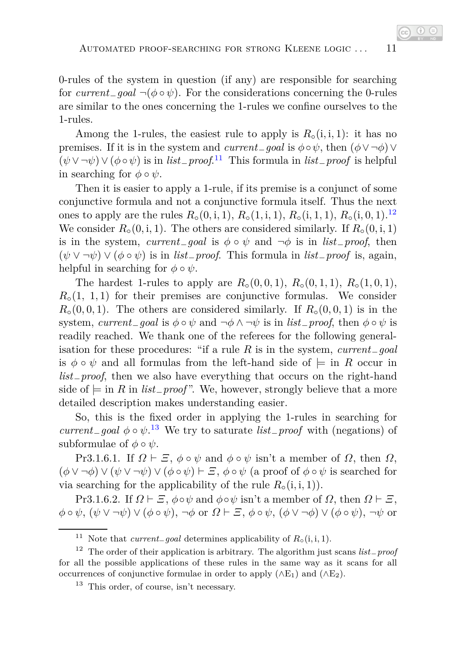0-rules of the system in question (if any) are responsible for searching for *current*<sub>−</sub>*goal*  $\neg$ ( $\phi \circ \psi$ ). For the considerations concerning the 0-rules are similar to the ones concerning the 1-rules we confine ourselves to the 1-rules.

Among the 1-rules, the easiest rule to apply is  $R_{\circ}(i, i, 1)$ : it has no premises. If it is in the system and *current*<sub>−</sub>*goal* is  $\phi \circ \psi$ , then  $(\phi \lor \neg \phi) \lor$  $(\psi \vee \neg \psi) \vee (\phi \circ \psi)$  is in *list*<sub>−</sub>*proof*.<sup>[11](#page-10-0)</sup> This formula in *list*<sub>−</sub>*proof* is helpful in searching for  $\phi \circ \psi$ .

Then it is easier to apply a 1-rule, if its premise is a conjunct of some conjunctive formula and not a conjunctive formula itself. Thus the next ones to apply are the rules  $R_0(0, i, 1), R_0(1, i, 1), R_0(i, 1, 1), R_0(i, 0, 1)$ .<sup>[12](#page-10-1)</sup> We consider  $R_{\circ}(0, i, 1)$ . The others are considered similarly. If  $R_{\circ}(0, i, 1)$ is in the system, *current*−*goal* is  $\phi \circ \psi$  and  $\neg \phi$  is in *list*−*proof*, then  $(\psi \vee \neg \psi) \vee (\phi \circ \psi)$  is in *list*<sub>−</sub>*proof*. This formula in *list*<sub>−</sub>*proof* is, again, helpful in searching for  $\phi \circ \psi$ .

The hardest 1-rules to apply are  $R_0(0,0,1)$ ,  $R_0(0,1,1)$ ,  $R_0(1,0,1)$ ,  $R_{\circ}(1, 1, 1)$  for their premises are conjunctive formulas. We consider  $R<sub>o</sub>(0,0,1)$ . The others are considered similarly. If  $R<sub>o</sub>(0,0,1)$  is in the system, *current*<sub>−</sub>*goal* is  $\phi \circ \psi$  and  $\neg \phi \land \neg \psi$  is in *list*<sub>−</sub>*proof*, then  $\phi \circ \psi$  is readily reached. We thank one of the referees for the following generalisation for these procedures: "if a rule *R* is in the system, *current*−*goal* is  $\phi \circ \psi$  and all formulas from the left-hand side of  $\models$  in *R* occur in *list*−*proof*, then we also have everything that occurs on the right-hand side of  $\models$  in *R* in *list*<sub>−</sub>*proof*". We, however, strongly believe that a more detailed description makes understanding easier.

So, this is the fixed order in applying the 1-rules in searching for *current*−*goal φ* ◦ *ψ*. [13](#page-10-2) We try to saturate *list*−*proof* with (negations) of subformulae of  $\phi \circ \psi$ .

Pr3.1.6.1. If  $\Omega \vdash \Xi$ ,  $\phi \circ \psi$  and  $\phi \circ \psi$  isn't a member of  $\Omega$ , then  $\Omega$ ,  $(\phi \vee \neg \phi) \vee (\psi \vee \neg \psi) \vee (\phi \circ \psi) \vdash \Xi$ ,  $\phi \circ \psi$  (a proof of  $\phi \circ \psi$  is searched for via searching for the applicability of the rule  $R_0(i, i, 1)$ .

Pr3.1.6.2. If  $\Omega \vdash \Xi$ ,  $\phi \circ \psi$  and  $\phi \circ \psi$  isn't a member of  $\Omega$ , then  $\Omega \vdash \Xi$ , *φ* ◦ *ψ*, (*ψ* ∨ ¬*ψ*) ∨ (*φ* ◦ *ψ*), ¬*φ* or *Ω* ⊢ *Ξ*, *φ* ◦ *ψ*, (*φ* ∨ ¬*φ*) ∨ (*φ* ◦ *ψ*), ¬*ψ* or

<span id="page-10-1"></span><span id="page-10-0"></span><sup>&</sup>lt;sup>11</sup> Note that *current*<sub>−</sub>*goal* determines applicability of  $R_0(i, i, 1)$ .

<sup>12</sup> The order of their application is arbitrary. The algorithm just scans *list*−*proof* for all the possible applications of these rules in the same way as it scans for all occurrences of conjunctive formulae in order to apply  $(\wedge E_1)$  and  $(\wedge E_2)$ .

<span id="page-10-2"></span> $13$  This order, of course, isn't necessary.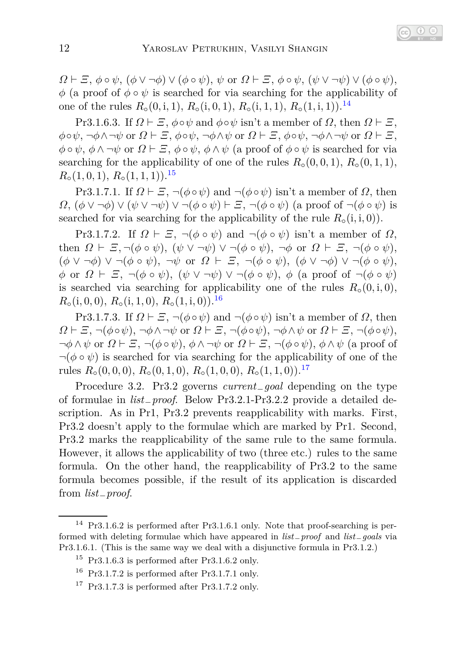$\Omega \vdash \Xi$ ,  $\phi \circ \psi$ ,  $(\phi \vee \neg \phi) \vee (\phi \circ \psi)$ ,  $\psi$  or  $\Omega \vdash \Xi$ ,  $\phi \circ \psi$ ,  $(\psi \vee \neg \psi) \vee (\phi \circ \psi)$ ,  $\phi$  (a proof of  $\phi \circ \psi$  is searched for via searching for the applicability of one of the rules *R*◦(0*,* i*,* 1), *R*◦(i*,* 0*,* 1), *R*◦(i*,* 1*,* 1), *R*◦(1*,* i*,* 1)).[14](#page-11-0)

Pr3.1.6.3. If  $\Omega \vdash \Xi$ ,  $\phi \circ \psi$  and  $\phi \circ \psi$  isn't a member of  $\Omega$ , then  $\Omega \vdash \Xi$ , *φ*◦*ψ*, ¬*φ*∧¬*ψ* or *Ω* ⊢ *Ξ*, *φ*◦*ψ*, ¬*φ*∧*ψ* or *Ω* ⊢ *Ξ*, *φ*◦*ψ*, ¬*φ*∧¬*ψ* or *Ω* ⊢ *Ξ*,  $\phi \circ \psi$ ,  $\phi \wedge \neg \psi$  or  $\Omega \vdash \Xi$ ,  $\phi \circ \psi$ ,  $\phi \wedge \psi$  (a proof of  $\phi \circ \psi$  is searched for via searching for the applicability of one of the rules  $R<sub>o</sub>(0,0,1), R<sub>o</sub>(0,1,1),$  $R_0(1,0,1), R_0(1,1,1).$ <sup>[15](#page-11-1)</sup>

Pr3.1.7.1. If  $\Omega \vdash \Xi$ ,  $\neg(\phi \circ \psi)$  and  $\neg(\phi \circ \psi)$  isn't a member of  $\Omega$ , then *Ω*,  $(φ ∨ ¬φ) ∨ (ψ ∨ ¬ψ) ∨ ¬(φ ∘ ψ) ⊢ ∃, ¬(φ ∘ ψ)$  (a proof of  $¬(φ ∘ ψ)$  is searched for via searching for the applicability of the rule  $R<sub>o</sub>(i, i, 0)$ .

Pr3.1.7.2. If  $\Omega \vdash \Xi$ ,  $\neg(\phi \circ \psi)$  and  $\neg(\phi \circ \psi)$  isn't a member of  $\Omega$ , then  $\Omega \vdash \Xi, \neg(\phi \circ \psi), (\psi \lor \neg \psi) \lor \neg(\phi \circ \psi), \neg \phi \text{ or } \Omega \vdash \Xi, \neg(\phi \circ \psi),$ (*φ* ∨ ¬*φ*) ∨ ¬(*φ* ◦ *ψ*), ¬*ψ* or *Ω* ⊢ *Ξ*, ¬(*φ* ◦ *ψ*), (*φ* ∨ ¬*φ*) ∨ ¬(*φ* ◦ *ψ*), *φ* or *Ω* ⊢ *Ξ*, ¬(*φ* ◦ *ψ*), (*ψ* ∨ ¬*ψ*) ∨ ¬(*φ* ◦ *ψ*), *φ* (a proof of ¬(*φ* ◦ *ψ*) is searched via searching for applicability one of the rules  $R<sub>o</sub>(0, i, 0)$ ,  $R_{\circ}(i, 0, 0), R_{\circ}(i, 1, 0), R_{\circ}(1, i, 0)).$ <sup>[16](#page-11-2)</sup>

Pr3.1.7.3. If  $\Omega \vdash \Xi$ ,  $\neg$ ( $\phi \circ \psi$ ) and  $\neg$ ( $\phi \circ \psi$ ) isn't a member of  $\Omega$ , then *Ω* ⊢ *Ξ*, ¬( $\phi \circ \psi$ ), ¬ $\phi \land \neg \psi$  or *Ω* ⊢ *Ξ*, ¬( $\phi \circ \psi$ ), ¬ $\phi \land \psi$  or *Ω* ⊢ *Ξ*, ¬( $\phi \circ \psi$ ), ¬*φ* ∧*ψ* or *Ω* ⊢ *Ξ*, ¬(*φ* ◦ *ψ*), *φ* ∧ ¬*ψ* or *Ω* ⊢ *Ξ*, ¬(*φ* ◦ *ψ*), *φ* ∧ *ψ* (a proof of  $\neg$ ( $\phi \circ \psi$ ) is searched for via searching for the applicability of one of the rules  $R_0(0,0,0)$ ,  $R_0(0,1,0)$ ,  $R_0(1,0,0)$ ,  $R_0(1,1,0)$ .<sup>[17](#page-11-3)</sup>

Procedure 3.2. Pr3.2 governs *current*−*goal* depending on the type of formulae in *list*−*proof*. Below Pr3.2.1-Pr3.2.2 provide a detailed description. As in Pr1, Pr3.2 prevents reapplicability with marks. First, Pr3.2 doesn't apply to the formulae which are marked by Pr1. Second, Pr3.2 marks the reapplicability of the same rule to the same formula. However, it allows the applicability of two (three etc.) rules to the same formula. On the other hand, the reapplicability of Pr3.2 to the same formula becomes possible, if the result of its application is discarded from *list*−*proof*.

<sup>&</sup>lt;sup>14</sup> Pr3.1.6.2 is performed after Pr3.1.6.1 only. Note that proof-searching is performed with deleting formulae which have appeared in *list*−*proof* and *list*−*goals* via Pr3.1.6.1. (This is the same way we deal with a disjunctive formula in Pr3.1.2.)

<span id="page-11-0"></span> $15$  Pr3.1.6.3 is performed after Pr3.1.6.2 only.

<span id="page-11-1"></span> $16$  Pr3.1.7.2 is performed after Pr3.1.7.1 only.

<span id="page-11-3"></span><span id="page-11-2"></span> $17$  Pr3.1.7.3 is performed after Pr3.1.7.2 only.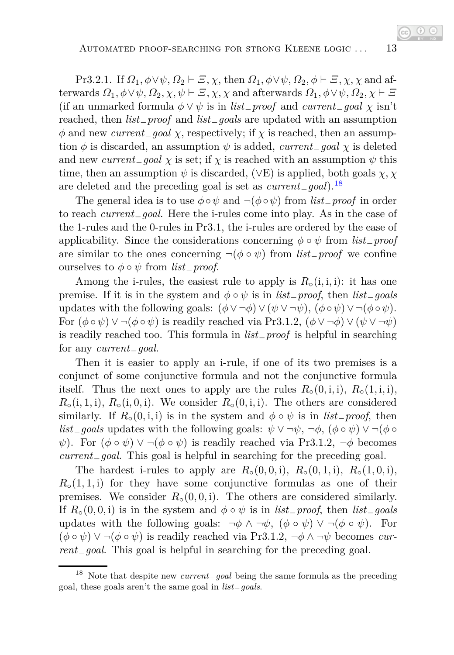Pr3.2.1. If  $\Omega_1, \phi \lor \psi, \Omega_2 \vdash \Xi, \chi$ , then  $\Omega_1, \phi \lor \psi, \Omega_2, \phi \vdash \Xi, \chi, \chi$  and afterwards  $\Omega_1, \phi \lor \psi, \Omega_2, \chi, \psi \vdash \Xi, \chi, \chi$  and afterwards  $\Omega_1, \phi \lor \psi, \Omega_2, \chi \vdash \Xi$ (if an unmarked formula  $\phi \lor \psi$  is in *list*<sub>−</sub>*proof* and *current*<sub>−</sub>*goal*  $\chi$  isn't reached, then *list*−*proof* and *list*−*goals* are updated with an assumption  $\phi$  and new *current*−*goal*  $\chi$ , respectively; if  $\chi$  is reached, then an assumption  $\phi$  is discarded, an assumption  $\psi$  is added, *current*<sub>−</sub>*goal*  $\chi$  is deleted and new *current* $\mathcal{L}$  *goal*  $\chi$  is set; if  $\chi$  is reached with an assumption  $\psi$  this time, then an assumption  $\psi$  is discarded, ( $\forall$ E) is applied, both goals  $\chi$ ,  $\chi$ are deleted and the preceding goal is set as *current*−*goal*).[18](#page-12-0)

The general idea is to use  $\phi \circ \psi$  and  $\neg(\phi \circ \psi)$  from *list*<sub>−</sub>*proof* in order to reach *current*−*goal*. Here the i-rules come into play. As in the case of the 1-rules and the 0-rules in Pr3.1, the i-rules are ordered by the ease of applicability. Since the considerations concerning *φ* ◦ *ψ* from *list*−*proof* are similar to the ones concerning  $\neg(\phi \circ \psi)$  from *list*<sub>−</sub>*proof* we confine ourselves to *φ* ◦ *ψ* from *list*−*proof*.

Among the i-rules, the easiest rule to apply is  $R<sub>o</sub>(i, i, i)$ : it has one premise. If it is in the system and  $\phi \circ \psi$  is in *list*<sub>−</sub>*proof*, then *list*<sub>−</sub>*goals* updates with the following goals:  $(\phi \lor \neg \phi) \lor (\psi \lor \neg \psi)$ ,  $(\phi \circ \psi) \lor \neg (\phi \circ \psi)$ . For  $(\phi \circ \psi) \vee \neg(\phi \circ \psi)$  is readily reached via Pr3.1.2,  $(\phi \vee \neg \phi) \vee (\psi \vee \neg \psi)$ is readily reached too. This formula in *list*−*proof* is helpful in searching for any *current*−*goal*.

Then it is easier to apply an i-rule, if one of its two premises is a conjunct of some conjunctive formula and not the conjunctive formula itself. Thus the next ones to apply are the rules  $R_\circ(0, i, i)$ ,  $R_\circ(1, i, i)$ ,  $R_{\circ}(i,1,i), R_{\circ}(i,0,i)$ . We consider  $R_{\circ}(0,i,i)$ . The others are considered similarly. If  $R_{\circ}(0, i, i)$  is in the system and  $\phi \circ \psi$  is in *list*<sub>−</sub>*proof*, then *list*<sub>−</sub>*goals* updates with the following goals:  $\psi \lor \neg \psi$ ,  $\neg \phi$ ,  $(\phi \circ \psi) \lor \neg (\phi \circ \psi)$ *ψ*). For  $(φ ∘ ψ) ∨ ¬(φ ∘ ψ)$  is readily reached via Pr3.1.2,  $¬φ$  becomes *current*−*goal*. This goal is helpful in searching for the preceding goal.

The hardest i-rules to apply are  $R_{\circ}(0,0,1), R_{\circ}(0,1,1), R_{\circ}(1,0,1),$  $R_{\rm o}(1,1,i)$  for they have some conjunctive formulas as one of their premises. We consider  $R_{\circ}(0,0,i)$ . The others are considered similarly. If  $R_{\circ}(0,0,1)$  is in the system and  $\phi \circ \psi$  is in *list*<sub>−</sub>*proof*, then *list*<sub>−</sub>*goals* updates with the following goals:  $\neg \phi \land \neg \psi$ ,  $(\phi \circ \psi) \lor \neg (\phi \circ \psi)$ . For  $(\phi \circ \psi) \vee \neg (\phi \circ \psi)$  is readily reached via Pr3.1.2,  $\neg \phi \wedge \neg \psi$  becomes *current*−*goal*. This goal is helpful in searching for the preceding goal.

<span id="page-12-0"></span><sup>18</sup> Note that despite new *current*−*goal* being the same formula as the preceding goal, these goals aren't the same goal in *list*−*goals*.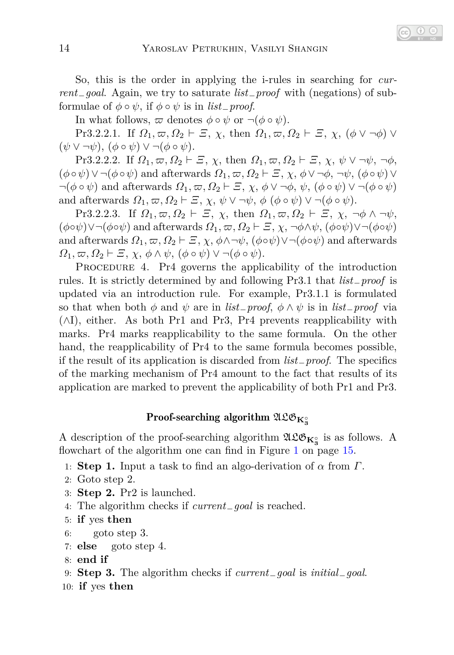In what follows,  $\varpi$  denotes  $\phi \circ \psi$  or  $\neg(\phi \circ \psi)$ .

Pr3.2.2.1. If  $\Omega_1, \varpi, \Omega_2 \vdash \varXi$ ,  $\chi$ , then  $\Omega_1, \varpi, \Omega_2 \vdash \varXi$ ,  $\chi$ ,  $(\phi \vee \neg \phi) \vee$  $(\psi \vee \neg \psi), (\phi \circ \psi) \vee \neg (\phi \circ \psi).$ 

Pr3.2.2.2. If  $\Omega_1, \varpi, \Omega_2 \vdash \varXi$ ,  $\chi$ , then  $\Omega_1, \varpi, \Omega_2 \vdash \varXi$ ,  $\chi$ ,  $\psi \vee \neg \psi$ ,  $\neg \phi$ ,  $(\phi \circ \psi) \vee \neg(\phi \circ \psi)$  and afterwards  $\Omega_1, \varpi, \Omega_2 \vdash \varXi, \chi, \phi \vee \neg \phi, \neg \psi, (\phi \circ \psi) \vee \neg \psi$  $\neg(\phi \circ \psi)$  and afterwards  $\Omega_1, \varpi, \Omega_2 \vdash \varXi, \chi, \phi \vee \neg \phi, \psi, (\phi \circ \psi) \vee \neg(\phi \circ \psi)$ and afterwards  $\Omega_1, \varpi, \Omega_2 \vdash \varXi$ ,  $\chi, \psi \vee \neg \psi, \phi \ (\phi \circ \psi) \vee \neg (\phi \circ \psi)$ .

Pr3.2.2.3. If  $\Omega_1, \varpi, \Omega_2 \vdash \varXi$ ,  $\chi$ , then  $\Omega_1, \varpi, \Omega_2 \vdash \varXi$ ,  $\chi$ ,  $\neg \phi \wedge \neg \psi$ ,  $(\phi \circ \psi) \lor \neg (\phi \circ \psi)$  and afterwards  $\Omega_1, \varpi, \Omega_2 \vdash \Xi, \chi, \neg \phi \land \psi, (\phi \circ \psi) \lor \neg (\phi \circ \psi)$ and afterwards  $\Omega_1, \varpi, \Omega_2 \vdash \Xi, \chi, \phi \land \neg \psi, (\phi \circ \psi) \lor \neg (\phi \circ \psi)$  and afterwards  $Ω_1, ∞, Ω_2 ⊢ Ξ, χ, φ ∧ ψ, (φ ∘ ψ) ∨ ¬(φ ∘ ψ).$ 

PROCEDURE 4. Pr4 governs the applicability of the introduction rules. It is strictly determined by and following Pr3.1 that *list*−*proof* is updated via an introduction rule. For example, Pr3.1.1 is formulated so that when both  $\phi$  and  $\psi$  are in *list* $p$ *roof*,  $\phi \wedge \psi$  is in *list* $p$ *roof* via (∧I), either. As both Pr1 and Pr3, Pr4 prevents reapplicability with marks. Pr4 marks reapplicability to the same formula. On the other hand, the reapplicability of Pr4 to the same formula becomes possible, if the result of its application is discarded from *list*−*proof*. The specifics of the marking mechanism of Pr4 amount to the fact that results of its application are marked to prevent the applicability of both Pr1 and Pr3.

## $\text{Proof-searching algorithm } \mathfrak{ALO}_{\mathbf{K}^\circ_3}$

A description of the proof-searching algorithm  $\mathfrak{ALB}_{K_3^{\circ}}$  is as follows. A flowchart of the algorithm one can find in Figure [1](#page-14-1) on page [15.](#page-14-1)

- 1: **Step 1.** Input a task to find an algo-derivation of *α* from *Γ*.
- 2: Goto step 2.
- 3: **Step 2.** Pr2 is launched.
- 4: The algorithm checks if *current*−*goal* is reached.
- 5: **if** yes **then**
- 6: goto step 3.
- 7: **else** goto step 4.
- 8: **end if**
- 9: **Step 3.** The algorithm checks if *current*−*goal* is *initial*−*goal*.
- 10: **if** yes **then**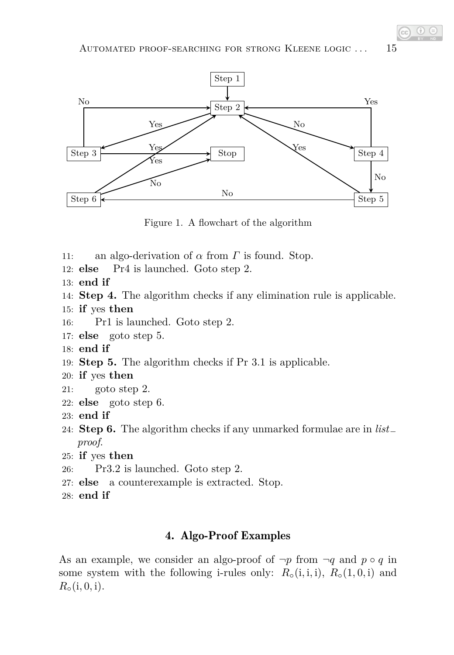

<span id="page-14-1"></span>Figure 1. A flowchart of the algorithm

- 11: an algo-derivation of *α* from *Γ* is found. Stop.
- 12: **else** Pr4 is launched. Goto step 2.
- 13: **end if**
- 14: **Step 4.** The algorithm checks if any elimination rule is applicable.
- 15: **if** yes **then**
- 16: Pr1 is launched. Goto step 2.
- 17: **else** goto step 5.
- 18: **end if**
- 19: **Step 5.** The algorithm checks if Pr 3.1 is applicable.
- 20: **if** yes **then**
- 21: goto step 2.
- 22: **else** goto step 6.
- 23: **end if**
- 24: **Step 6.** The algorithm checks if any unmarked formulae are in *list*<sup>−</sup> *proof*.
- 25: **if** yes **then**
- 26: Pr3.2 is launched. Goto step 2.
- 27: **else** a counterexample is extracted. Stop.
- <span id="page-14-0"></span>28: **end if**

### 4. Algo-Proof Examples

As an example, we consider an algo-proof of  $\neg p$  from  $\neg q$  and  $p \circ q$  in some system with the following i-rules only:  $R_{\circ}$  (i, i, i),  $R_{\circ}$  (1, 0, i) and  $R_0(i, 0, i)$ .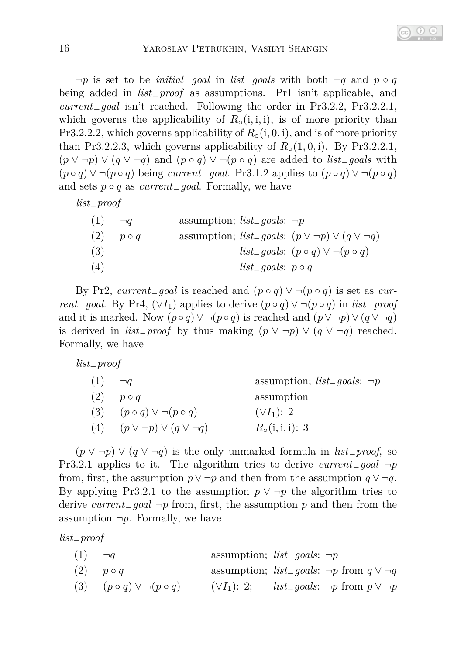¬*p* is set to be *initial*−*goal* in *list*−*goals* with both ¬*q* and *p* ◦ *q* being added in *list*−*proof* as assumptions. Pr1 isn't applicable, and *current*−*goal* isn't reached. Following the order in Pr3.2.2, Pr3.2.2.1, which governs the applicability of  $R<sub>o</sub>(i, i, i)$ , is of more priority than Pr3.2.2.2, which governs applicability of  $R<sub>o</sub>(i, 0, i)$ , and is of more priority than Pr3.2.2.3, which governs applicability of  $R_{\circ}(1,0,i)$ . By Pr3.2.2.1, (*p* ∨ ¬*p*) ∨ (*q* ∨ ¬*q*) and (*p* ◦ *q*) ∨ ¬(*p* ◦ *q*) are added to *list*−*goals* with  $(p \circ q) \vee \neg (p \circ q)$  being *current*<sub>−</sub>*goal*. Pr3.1.2 applies to  $(p \circ q) \vee \neg (p \circ q)$ and sets *p* ◦ *q* as *current*−*goal*. Formally, we have

*list*−*proof*

| (1) | $\neg q$    | assumption; <i>list_goals</i> : $\neg p$ |                                 |                                                                        |
|-----|-------------|------------------------------------------|---------------------------------|------------------------------------------------------------------------|
| (2) | $p \circ q$ |                                          |                                 | assumption; <i>list_goals</i> : $(p \lor \neg p) \lor (q \lor \neg q)$ |
| (3) |             |                                          |                                 | <i>list_goals</i> : $(p \circ q) \vee \neg (p \circ q)$                |
| (4) |             |                                          | <i>list_goals</i> : $p \circ q$ |                                                                        |

By Pr2, *current*<sub>−</sub>*goal* is reached and  $(p \circ q) \vee \neg (p \circ q)$  is set as *current*<sub>−</sub>*goal*. By Pr4,  $(\forall I_1)$  applies to derive  $(p \circ q) \vee \neg (p \circ q)$  in *list*<sub>−</sub>*proof* and it is marked. Now  $(p \circ q) \vee \neg (p \circ q)$  is reached and  $(p \vee \neg p) \vee (q \vee \neg q)$ is derived in  $list\_proof$  by thus making  $(p \lor \neg p) \lor (q \lor \neg q)$  reached. Formally, we have

*list*−*proof*

| (1) | $\neg q$                               | assumption; $list_{-}goals: \neg p$ |
|-----|----------------------------------------|-------------------------------------|
| (2) | $p \circ q$                            | assumption                          |
| (3) | $(p \circ q) \vee \neg (p \circ q)$    | $(\vee I_1)$ : 2                    |
| (4) | $(p \vee \neg p) \vee (q \vee \neg q)$ | $R_0(i, i, i)$ : 3                  |

(*p* ∨ ¬*p*) ∨ (*q* ∨ ¬*q*) is the only unmarked formula in *list*−*proof*, so Pr3.2.1 applies to it. The algorithm tries to derive *current*−*goal* ¬*p* from, first, the assumption  $p \lor \neg p$  and then from the assumption  $q \lor \neg q$ . By applying Pr3.2.1 to the assumption  $p \vee \neg p$  the algorithm tries to derive *current*−*goal* ¬*p* from, first, the assumption *p* and then from the assumption  $\neg p$ . Formally, we have

*list*−*proof*

| (1)<br>assumption; $list_{g}oals: \neg p$ |  |
|-------------------------------------------|--|
|-------------------------------------------|--|

- (2)  $p \circ q$  assumption; *list*<sub>-</sub>*goals*: ¬*p* from  $q \vee \neg q$
- (3)  $(p \circ q) \vee \neg (p \circ q)$   $(\vee I_1): 2;$  *list\_goals*:  $\neg p$  from  $p \vee \neg p$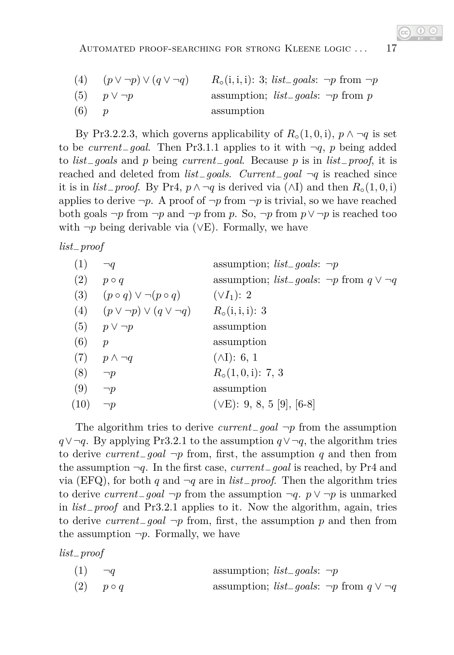| (4) | $(p \vee \neg p) \vee (q \vee \neg q)$ | $R_{\circ}(i, i, i)$ : 3; <i>list_goals</i> : $\neg p$ from $\neg p$ |
|-----|----------------------------------------|----------------------------------------------------------------------|
|     | $(5)$ $p \vee \neg p$                  | assumption; <i>list_goals</i> : $\neg p$ from p                      |
| (6) |                                        | assumption                                                           |

By Pr3.2.2.3, which governs applicability of  $R_{\circ}(1,0,i)$ ,  $p \wedge \neg q$  is set to be *current*−*goal*. Then Pr3.1.1 applies to it with ¬*q*, *p* being added to *list*−*goals* and *p* being *current*−*goal*. Because *p* is in *list*−*proof*, it is reached and deleted from *list*−*goals*. *Current*−*goal* ¬*q* is reached since it is in *list*<sub>−</sub>*proof.* By Pr4,  $p \land \neg q$  is derived via (∧I) and then  $R_{\circ}(1, 0, i)$ applies to derive  $\neg p$ . A proof of  $\neg p$  from  $\neg p$  is trivial, so we have reached both goals  $\neg p$  from  $\neg p$  and  $\neg p$  from  $p$ . So,  $\neg p$  from  $p \vee \neg p$  is reached too with  $\neg p$  being derivable via ( $\vee$ E). Formally, we have

*list*−*proof*

| (1)  | $\neg q$                                                      | assumption; <i>list_goals</i> : $\neg p$                      |
|------|---------------------------------------------------------------|---------------------------------------------------------------|
| (2)  | $p \circ q$                                                   | assumption; <i>list_goals</i> : $\neg p$ from $q \lor \neg q$ |
|      | (3) $(p \circ q) \vee \neg (p \circ q)$                       | $(\vee I_1)$ : 2                                              |
|      | (4) $(p \lor \neg p) \lor (q \lor \neg q)$ $R_o(i, i, i) : 3$ |                                                               |
|      | $(5)$ $p \vee \neg p$                                         | assumption                                                    |
| (6)  | $\mathcal{D}$                                                 | assumption                                                    |
|      | $(7)$ $p \wedge \neg q$                                       | $(\wedge I)$ : 6, 1                                           |
| (8)  | $\neg p$                                                      | $R_{\circ}(1,0,i)$ : 7, 3                                     |
| (9)  | $\neg p$                                                      | assumption                                                    |
| (10) | $\neg p$                                                      | $(\vee E)$ : 9, 8, 5 [9], [6-8]                               |

The algorithm tries to derive *current*−*goal* ¬*p* from the assumption *q*∨¬*q*. By applying Pr3.2.1 to the assumption *q*∨¬*q*, the algorithm tries to derive *current*−*goal* ¬*p* from, first, the assumption *q* and then from the assumption ¬*q*. In the first case, *current*−*goal* is reached, by Pr4 and via (EFQ), for both *q* and ¬*q* are in *list*−*proof*. Then the algorithm tries to derive *current*−*goal* ¬*p* from the assumption ¬*q*. *p* ∨ ¬*p* is unmarked in *list*−*proof* and Pr3.2.1 applies to it. Now the algorithm, again, tries to derive *current*−*goal* ¬*p* from, first, the assumption *p* and then from the assumption  $\neg p$ . Formally, we have

*list*−*proof*

| (1)<br>assumption; $list_{g}oals: \neg p$ |  |
|-------------------------------------------|--|
|-------------------------------------------|--|

(2)  $p \circ q$  assumption; *list\_goals*: ¬*p* from  $q \vee \neg q$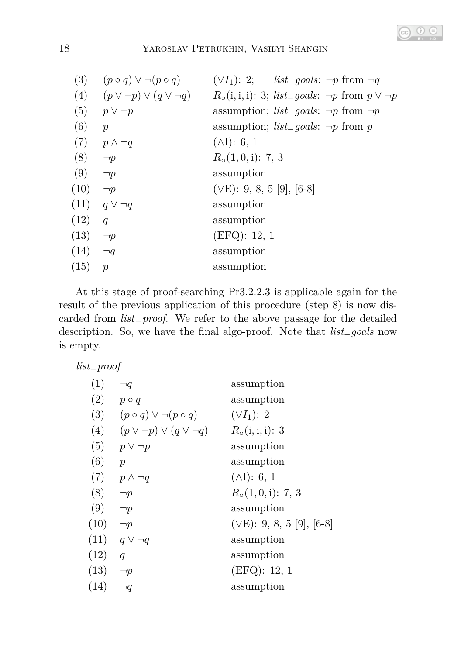

### 18 Yaroslav Petrukhin, Vasilyi Shangin

| (3)  |                                            | $(p \circ q) \vee \neg (p \circ q)$ $(\vee I_1)$ : 2; $list\_goals: \neg p$ from $\neg q$ |
|------|--------------------------------------------|-------------------------------------------------------------------------------------------|
|      | (4) $(p \vee \neg p) \vee (q \vee \neg q)$ | $R_0(i, i, i)$ : 3; <i>list_goals</i> : $\neg p$ from $p \lor \neg p$                     |
| (5)  | $p \vee \neg p$                            | assumption; <i>list_goals</i> : $\neg p$ from $\neg p$                                    |
| (6)  | $\mathcal{p}$                              | assumption; <i>list_goals</i> : $\neg p$ from p                                           |
|      | $(7)$ $p \wedge \neg q$                    | $(\wedge I)$ : 6, 1                                                                       |
| (8)  | $\neg p$                                   | $R_{\circ}(1,0,i): 7, 3$                                                                  |
| (9)  | $\neg p$                                   | assumption                                                                                |
| (10) | $\neg p$                                   | $(\vee E)$ : 9, 8, 5 [9], [6-8]                                                           |
|      | $(11)$ $q \vee \neg q$                     | assumption                                                                                |
| (12) | q                                          | assumption                                                                                |
| (13) | $\neg p$                                   | (EFQ): 12, 1                                                                              |
| (14) | $\neg q$                                   | assumption                                                                                |
| (15) | $\mathcal{D}$                              | assumption                                                                                |
|      |                                            |                                                                                           |

At this stage of proof-searching Pr3.2.2.3 is applicable again for the result of the previous application of this procedure (step 8) is now discarded from *list*−*proof*. We refer to the above passage for the detailed description. So, we have the final algo-proof. Note that *list*−*goals* now is empty.

*list*−*proof*

| (1)  | ٦q                                     | assumption                      |
|------|----------------------------------------|---------------------------------|
| (2)  | $p \circ q$                            | assumption                      |
| (3)  | $(p \circ q) \vee \neg (p \circ q)$    | $(\vee I_1)$ : 2                |
| (4)  | $(p \vee \neg p) \vee (q \vee \neg q)$ | $R_0(i, i, i)$ : 3              |
| (5)  | $p \vee \neg p$                        | assumption                      |
| (6)  | $\mathcal{p}$                          | assumption                      |
| (7)  | $p \wedge \neg q$                      | $(\wedge I)$ : 6, 1             |
| (8)  | $\neg p$                               | $R_{\circ}(1,0,i)$ : 7, 3       |
| (9)  | $\neg p$                               | assumption                      |
| (10) | $\neg p$                               | $(\vee E)$ : 9, 8, 5 [9], [6-8] |
|      | $(11)$ $q \vee \neg q$                 | assumption                      |
| (12) | q                                      | assumption                      |
| (13) | $\neg p$                               | (EFQ): 12, 1                    |
| (14) | $\neg q$                               | assumption                      |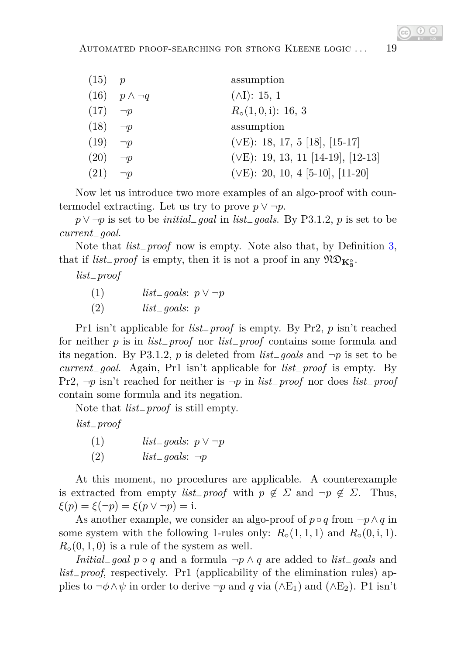| $(15)$ p            |                          | assumption                               |
|---------------------|--------------------------|------------------------------------------|
|                     | $(16)$ $p \wedge \neg q$ | $(\wedge I): 15, 1$                      |
| $(17) \quad \neg p$ |                          | $R_{\circ}(1,0,i)$ : 16, 3               |
| $(18) \quad \neg p$ |                          | assumption                               |
| (19)                | $\neg p$                 | $(\vee E)$ : 18, 17, 5 [18], [15-17]     |
| (20)                | $\neg p$                 | $(\vee E)$ : 19, 13, 11 [14-19], [12-13] |
| $(21) \quad \neg p$ |                          | $(\vee E)$ : 20, 10, 4 [5-10], [11-20]   |

Now let us introduce two more examples of an algo-proof with countermodel extracting. Let us try to prove  $p \vee \neg p$ .

*p* ∨ ¬*p* is set to be *initial*−*goal* in *list*−*goals*. By P3.1.2, *p* is set to be *current*−*goal*.

Note that *list*−*proof* now is empty. Note also that, by Definition [3,](#page-5-0) that if  $list\_proof$  is empty, then it is not a proof in any  $\mathfrak{NO}_{\mathbf{K}_3^{\circ}}$ .

*list*−*proof*

| (1) | <i>list_goals</i> : $p \lor \neg p$ |  |
|-----|-------------------------------------|--|
| (2) | $list_{-goals: p}$                  |  |

Pr1 isn't applicable for *list*−*proof* is empty. By Pr2, *p* isn't reached for neither *p* is in *list*−*proof* nor *list*−*proof* contains some formula and its negation. By P3.1.2, *p* is deleted from *list*−*goals* and ¬*p* is set to be *current*−*goal*. Again, Pr1 isn't applicable for *list*−*proof* is empty. By Pr2, ¬*p* isn't reached for neither is ¬*p* in *list*−*proof* nor does *list*−*proof* contain some formula and its negation.

Note that *list*−*proof* is still empty.

*list*−*proof*

(1) *list*−*goals*: *p* ∨ ¬*p* (2) *list*−*goals*: ¬*p*

At this moment, no procedures are applicable. A counterexample is extracted from empty *list*<sub>−</sub>*proof* with  $p \notin \Sigma$  and  $\neg p \notin \Sigma$ . Thus, *ξ*(*p*) = *ξ*( $\neg$ *p*) = *ξ*(*p* ∨  $\neg$ *p*) = i.

As another example, we consider an algo-proof of  $p \circ q$  from  $\neg p \land q$  in some system with the following 1-rules only:  $R_{\circ}(1,1,1)$  and  $R_{\circ}(0,1,1)$ .  $R<sub>o</sub>(0, 1, 0)$  is a rule of the system as well.

*Initial*−*goal p* ◦ *q* and a formula ¬*p* ∧ *q* are added to *list*−*goals* and *list*−*proof*, respectively. Pr1 (applicability of the elimination rules) applies to  $\neg \phi \land \psi$  in order to derive  $\neg p$  and *q* via ( $\land$ E<sub>1</sub>) and ( $\land$ E<sub>2</sub>). P1 isn't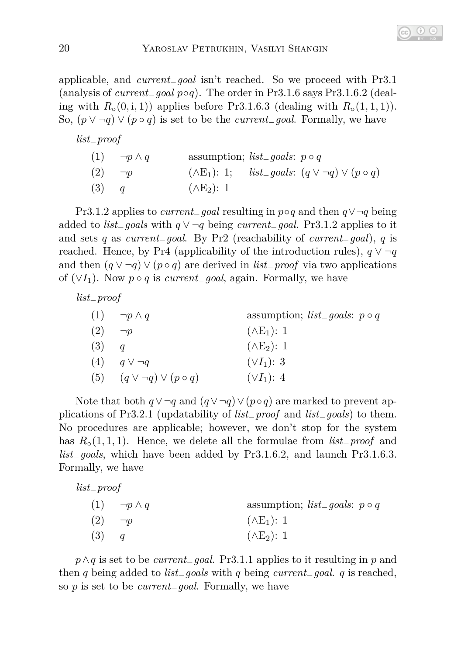applicable, and *current*−*goal* isn't reached. So we proceed with Pr3.1 (analysis of *current*−*goal p*◦*q*). The order in Pr3.1.6 says Pr3.1.6.2 (dealing with  $R_\circ(0, i, 1)$  applies before Pr3.1.6.3 (dealing with  $R_\circ(1, 1, 1)$ ). So,  $(p ∨ ¬q) ∨ (p ∘ q)$  is set to be the *current*<sub>−</sub>*goal*. Formally, we have

| $list\_proof$               |                                                                          |
|-----------------------------|--------------------------------------------------------------------------|
| $(1) \quad \neg p \wedge q$ | assumption; <i>list_goals</i> : $p \circ q$                              |
| $(2) \quad \neg p$          | $(\wedge E_1): 1;$ <i>list_goals:</i> $(q \vee \neg q) \vee (p \circ q)$ |
| $(3)$ q                     | $(\wedge E_2): 1$                                                        |

Pr3.1.2 applies to *current*−*goal* resulting in *p*◦*q* and then *q*∨¬*q* being added to *list*−*goals* with *q* ∨ ¬*q* being *current*−*goal*. Pr3.1.2 applies to it and sets *q* as *current*−*goal*. By Pr2 (reachability of *current*−*goal*), *q* is reached. Hence, by Pr4 (applicability of the introduction rules),  $q \vee \neg q$ and then  $(q \vee \neg q) \vee (p \circ q)$  are derived in *list*<sub>−</sub>*proof* via two applications of  $(\forall I_1)$ . Now  $p \circ q$  is *current*<sub>−</sub>*goal*, again. Formally, we have

*list*−*proof*

|     | $(1) \quad \neg p \wedge q$        | assumption; <i>list_goals</i> : $p \circ q$ |
|-----|------------------------------------|---------------------------------------------|
| (2) | $\neg p$                           | $(\wedge E_1): 1$                           |
| (3) | $\boldsymbol{q}$                   | $(\wedge E_2)$ : 1                          |
| (4) | $q \vee \neg q$                    | $(\vee I_1)$ : 3                            |
| (5) | $(q \vee \neg q) \vee (p \circ q)$ | $(\vee I_1)$ : 4                            |

Note that both  $q \vee \neg q$  and  $(q \vee \neg q) \vee (p \circ q)$  are marked to prevent applications of Pr3.2.1 (updatability of *list*−*proof* and *list*−*goals*) to them. No procedures are applicable; however, we don't stop for the system has *R*◦(1*,* 1*,* 1). Hence, we delete all the formulae from *list*−*proof* and *list*−*goals*, which have been added by Pr3.1.6.2, and launch Pr3.1.6.3. Formally, we have

| $list\_proof$               |                                             |
|-----------------------------|---------------------------------------------|
| $(1) \quad \neg p \wedge q$ | assumption; <i>list_goals</i> : $p \circ q$ |
| $(2) \quad \neg p$          | $(\wedge E_1): 1$                           |
| (3)<br>$\overline{q}$       | $(\wedge E_2): 1$                           |

*p*∧*q* is set to be *current*−*goal*. Pr3.1.1 applies to it resulting in *p* and then *q* being added to *list*−*goals* with *q* being *current*−*goal*. *q* is reached, so *p* is set to be *current*−*goal*. Formally, we have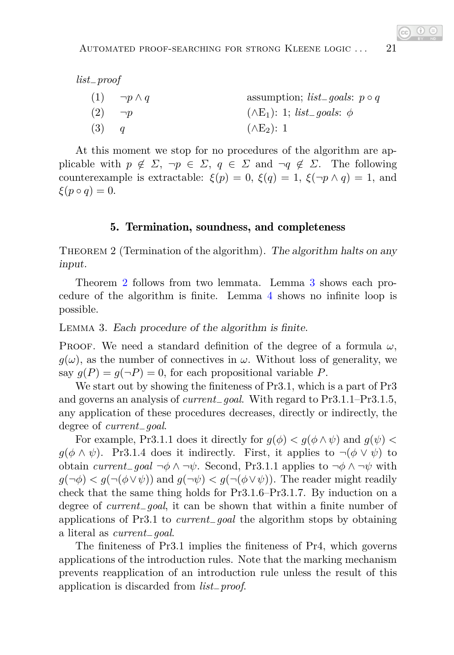*list*−*proof*

|     | $(1) \quad \neg p \wedge q$ | assumption; $list\_goals: p \circ q$           |
|-----|-----------------------------|------------------------------------------------|
|     | $(2) \quad \neg p$          | $(\wedge E_1)$ : 1; <i>list_goals</i> : $\phi$ |
| (3) |                             | $(\wedge E_2)$ : 1                             |

At this moment we stop for no procedures of the algorithm are applicable with  $p \notin \Sigma$ ,  $\neg p \in \Sigma$ ,  $q \in \Sigma$  and  $\neg q \notin \Sigma$ . The following counterexample is extractable:  $\xi(p) = 0$ ,  $\xi(q) = 1$ ,  $\xi(\neg p \wedge q) = 1$ , and  $\xi(p \circ q) = 0.$ 

### 5. Termination, soundness, and completeness

<span id="page-20-0"></span>THEOREM 2 (Termination of the algorithm). The algorithm halts on any input.

Theorem [2](#page-20-0) follows from two lemmata. Lemma [3](#page-20-1) shows each procedure of the algorithm is finite. Lemma [4](#page-21-0) shows no infinite loop is possible.

#### <span id="page-20-1"></span>Lemma 3. Each procedure of the algorithm is finite.

PROOF. We need a standard definition of the degree of a formula  $\omega$ ,  $g(\omega)$ , as the number of connectives in  $\omega$ . Without loss of generality, we say  $q(P) = q(\neg P) = 0$ , for each propositional variable *P*.

We start out by showing the finiteness of Pr3.1, which is a part of Pr3 and governs an analysis of *current*−*goal*. With regard to Pr3.1.1–Pr3.1.5, any application of these procedures decreases, directly or indirectly, the degree of *current*−*goal*.

For example, Pr3.1.1 does it directly for  $g(\phi) < g(\phi \wedge \psi)$  and  $g(\psi) <$  $g(\phi \land \psi)$ . Pr3.1.4 does it indirectly. First, it applies to  $\neg(\phi \lor \psi)$  to obtain *current*−*goal* ¬*φ* ∧ ¬*ψ*. Second, Pr3.1.1 applies to ¬*φ* ∧ ¬*ψ* with  $g(\neg \phi) < g(\neg(\phi \lor \psi))$  and  $g(\neg \psi) < g(\neg(\phi \lor \psi))$ . The reader might readily check that the same thing holds for Pr3.1.6–Pr3.1.7. By induction on a degree of *current*−*goal*, it can be shown that within a finite number of applications of Pr3.1 to *current*−*goal* the algorithm stops by obtaining a literal as *current*−*goal*.

The finiteness of Pr3.1 implies the finiteness of Pr4, which governs applications of the introduction rules. Note that the marking mechanism prevents reapplication of an introduction rule unless the result of this application is discarded from *list*−*proof*.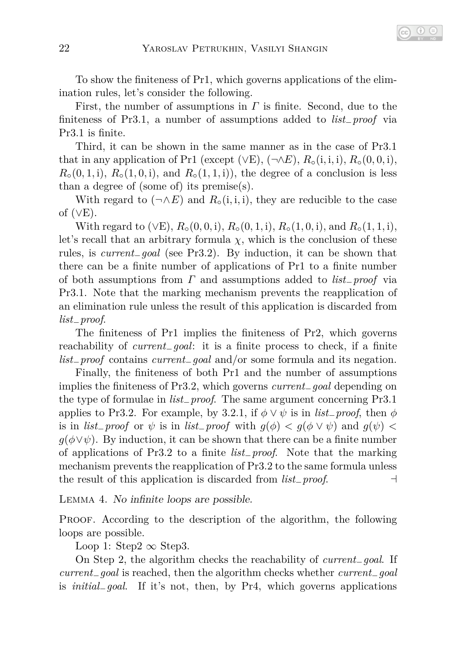To show the finiteness of Pr1, which governs applications of the elimination rules, let's consider the following.

First, the number of assumptions in *Γ* is finite. Second, due to the finiteness of Pr3.1, a number of assumptions added to *list*−*proof* via Pr3.1 is finite.

Third, it can be shown in the same manner as in the case of Pr3.1 that in any application of Pr1 (except  $(\forall E)$ ,  $(\neg \land E)$ ,  $R_\circ(i, i, i)$ ,  $R_\circ(0, 0, i)$ ,  $R_{\circ}(0,1,i)$ ,  $R_{\circ}(1,0,i)$ , and  $R_{\circ}(1,1,i)$ , the degree of a conclusion is less than a degree of (some of) its premise(s).

With regard to  $(\neg \land E)$  and  $R_{\circ}(i, i, i)$ , they are reducible to the case of  $(\vee E)$ .

With regard to ( $\vee$ E),  $R_{\circ}$ (0*,* 0*,* i),  $R_{\circ}$ (0*,* 1*,* i),  $R_{\circ}$ (1*,* 0*,* i), and  $R_{\circ}$ (1*,* 1*,* i), let's recall that an arbitrary formula  $\chi$ , which is the conclusion of these rules, is *current*−*goal* (see Pr3.2). By induction, it can be shown that there can be a finite number of applications of Pr1 to a finite number of both assumptions from *Γ* and assumptions added to *list*−*proof* via Pr3.1. Note that the marking mechanism prevents the reapplication of an elimination rule unless the result of this application is discarded from *list*−*proof*.

The finiteness of Pr1 implies the finiteness of Pr2, which governs reachability of *current*−*goal*: it is a finite process to check, if a finite *list*−*proof* contains *current*−*goal* and/or some formula and its negation.

Finally, the finiteness of both Pr1 and the number of assumptions implies the finiteness of Pr3.2, which governs *current*−*goal* depending on the type of formulae in *list*−*proof*. The same argument concerning Pr3.1 applies to Pr3.2. For example, by 3.2.1, if  $\phi \lor \psi$  is in *list*<sub>−</sub>*proof*, then  $\phi$ is in *list*<sub>−</sub>*proof* or  $\psi$  is in *list*<sub>−</sub>*proof* with  $g(\phi) < g(\phi \vee \psi)$  and  $g(\psi) <$  $g(\phi \vee \psi)$ . By induction, it can be shown that there can be a finite number of applications of Pr3.2 to a finite *list*−*proof*. Note that the marking mechanism prevents the reapplication of Pr3.2 to the same formula unless the result of this application is discarded from *list*−*proof*. ⊣

<span id="page-21-0"></span>Lemma 4. No infinite loops are possible.

PROOF. According to the description of the algorithm, the following loops are possible.

Loop 1: Step2  $\infty$  Step3.

On Step 2, the algorithm checks the reachability of *current*−*goal*. If *current*−*goal* is reached, then the algorithm checks whether *current*−*goal* is *initial*−*goal*. If it's not, then, by Pr4, which governs applications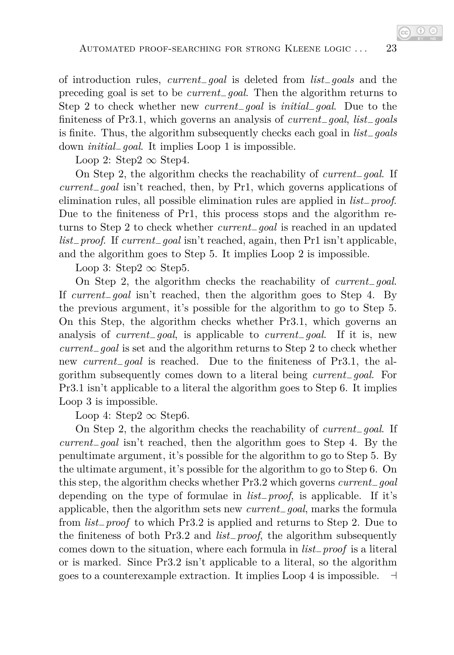of introduction rules, *current*−*goal* is deleted from *list*−*goals* and the preceding goal is set to be *current*−*goal*. Then the algorithm returns to Step 2 to check whether new *current*−*goal* is *initial*−*goal*. Due to the finiteness of Pr3.1, which governs an analysis of *current*−*goal*, *list*−*goals* is finite. Thus, the algorithm subsequently checks each goal in *list*−*goals* down *initial*−*goal*. It implies Loop 1 is impossible.

Loop 2: Step2  $\infty$  Step4.

On Step 2, the algorithm checks the reachability of *current*−*goal*. If *current*−*goal* isn't reached, then, by Pr1, which governs applications of elimination rules, all possible elimination rules are applied in *list*−*proof*. Due to the finiteness of Pr1, this process stops and the algorithm returns to Step 2 to check whether *current*−*goal* is reached in an updated *list*−*proof*. If *current*−*goal* isn't reached, again, then Pr1 isn't applicable, and the algorithm goes to Step 5. It implies Loop 2 is impossible.

Loop 3: Step2  $\infty$  Step5.

On Step 2, the algorithm checks the reachability of *current*−*goal*. If *current*−*goal* isn't reached, then the algorithm goes to Step 4. By the previous argument, it's possible for the algorithm to go to Step 5. On this Step, the algorithm checks whether Pr3.1, which governs an analysis of *current*−*goal*, is applicable to *current*−*goal*. If it is, new *current*−*goal* is set and the algorithm returns to Step 2 to check whether new *current*−*goal* is reached. Due to the finiteness of Pr3.1, the algorithm subsequently comes down to a literal being *current*−*goal*. For Pr3.1 isn't applicable to a literal the algorithm goes to Step 6. It implies Loop 3 is impossible.

Loop 4: Step2  $\infty$  Step6.

On Step 2, the algorithm checks the reachability of *current*−*goal*. If *current*−*goal* isn't reached, then the algorithm goes to Step 4. By the penultimate argument, it's possible for the algorithm to go to Step 5. By the ultimate argument, it's possible for the algorithm to go to Step 6. On this step, the algorithm checks whether Pr3.2 which governs *current*−*goal* depending on the type of formulae in *list*−*proof*, is applicable. If it's applicable, then the algorithm sets new *current*−*goal*, marks the formula from *list*−*proof* to which Pr3.2 is applied and returns to Step 2. Due to the finiteness of both Pr3.2 and *list*−*proof*, the algorithm subsequently comes down to the situation, where each formula in *list*−*proof* is a literal or is marked. Since Pr3.2 isn't applicable to a literal, so the algorithm goes to a counterexample extraction. It implies Loop 4 is impossible. ⊣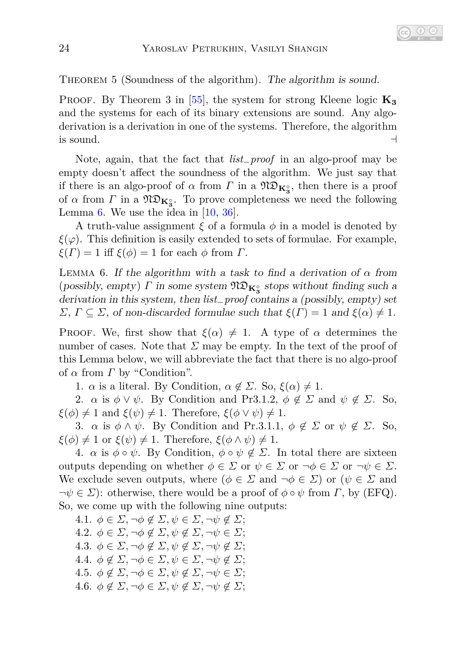THEOREM 5 (Soundness of the algorithm). The algorithm is sound.

PROOF. By Theorem 3 in  $\left|55\right|$ , the system for strong Kleene logic  $\mathbf{K}_3$ and the systems for each of its binary extensions are sound. Any algoderivation is a derivation in one of the systems. Therefore, the algorithm is sound.  $\rightarrow$ 

Note, again, that the fact that *list*−*proof* in an algo-proof may be empty doesn't affect the soundness of the algorithm. We just say that if there is an algo-proof of  $\alpha$  from  $\Gamma$  in a  $\mathfrak{N}\mathfrak{D}_{\mathbf{K}_3^{\circ}}$ , then there is a proof of  $\alpha$  from  $\Gamma$  in a  $\mathfrak{N} \mathfrak{D}_{\mathbf{K}_3^{\circ}}$ . To prove completeness we need the following Lemma [6.](#page-23-0) We use the idea in  $[10, 36]$  $[10, 36]$ .

A truth-value assignment *ξ* of a formula *φ* in a model is denoted by  $\xi(\varphi)$ . This definition is easily extended to sets of formulae. For example, *ξ*(*Γ*) = 1 iff *ξ*( $\phi$ ) = 1 for each  $\phi$  from *Γ*.

<span id="page-23-0"></span>LEMMA 6. If the algorithm with a task to find a derivation of  $\alpha$  from (possibly, empty)  $\Gamma$  in some system  $\mathfrak{N} \mathfrak{D}_{\mathbf{K}_3^{\circ}}$  stops without finding such a derivation in this system, then *list*−*proof* contains a (possibly, empty) set *Σ*, *Γ*  $\subseteq$  *Σ*, of non-discarded formulae such that  $ξ(Γ) = 1$  and  $ξ(α) ≠ 1$ .

Proof. We, first show that  $\xi(\alpha) \neq 1$ . A type of  $\alpha$  determines the number of cases. Note that  $\Sigma$  may be empty. In the text of the proof of this Lemma below, we will abbreviate the fact that there is no algo-proof of *α* from *Γ* by "Condition".

1. *α* is a literal. By Condition,  $\alpha \notin \Sigma$ . So,  $\xi(\alpha) \neq 1$ .

2. *α* is  $\phi \lor \psi$ . By Condition and Pr3.1.2,  $\phi \notin \Sigma$  and  $\psi \notin \Sigma$ . So,  $\xi(\phi) \neq 1$  and  $\xi(\psi) \neq 1$ . Therefore,  $\xi(\phi \vee \psi) \neq 1$ .

3. *α* is  $\phi \wedge \psi$ . By Condition and Pr.3.1.1,  $\phi \notin \Sigma$  or  $\psi \notin \Sigma$ . So,  $\xi(\phi) \neq 1$  or  $\xi(\psi) \neq 1$ . Therefore,  $\xi(\phi \wedge \psi) \neq 1$ .

4.  $\alpha$  is  $\phi \circ \psi$ . By Condition,  $\phi \circ \psi \notin \Sigma$ . In total there are sixteen outputs depending on whether  $\phi \in \Sigma$  or  $\psi \in \Sigma$  or  $\neg \phi \in \Sigma$  or  $\neg \psi \in \Sigma$ . We exclude seven outputs, where  $(\phi \in \Sigma \text{ and } \neg \phi \in \Sigma)$  or  $(\psi \in \Sigma \text{ and } \neg \phi \in \Sigma)$  $\neg \psi \in \Sigma$ : otherwise, there would be a proof of  $\phi \circ \psi$  from *Γ*, by (EFQ). So, we come up with the following nine outputs:

4.1.  $\phi \in \Sigma$ ,  $\neg \phi \notin \Sigma$ ,  $\psi \in \Sigma$ ,  $\neg \psi \notin \Sigma$ ; 4.2.  $\phi \in \Sigma$ ,  $\neg \phi \notin \Sigma$ ,  $\psi \notin \Sigma$ ,  $\neg \psi \in \Sigma$ ; 4.3.  $\phi \in \Sigma$ ,  $\neg \phi \notin \Sigma$ ,  $\psi \notin \Sigma$ ,  $\neg \psi \notin \Sigma$ ; 4.4.  $\phi \notin \Sigma, \neg \phi \in \Sigma, \psi \in \Sigma, \neg \psi \notin \Sigma$ ; 4.5.  $\phi \notin \Sigma$ ,  $\neg \phi \in \Sigma$ ,  $\psi \notin \Sigma$ ,  $\neg \psi \in \Sigma$ ; 4.6.  $\phi \notin \Sigma$ ,  $\neg \phi \in \Sigma$ ,  $\psi \notin \Sigma$ ,  $\neg \psi \notin \Sigma$ ;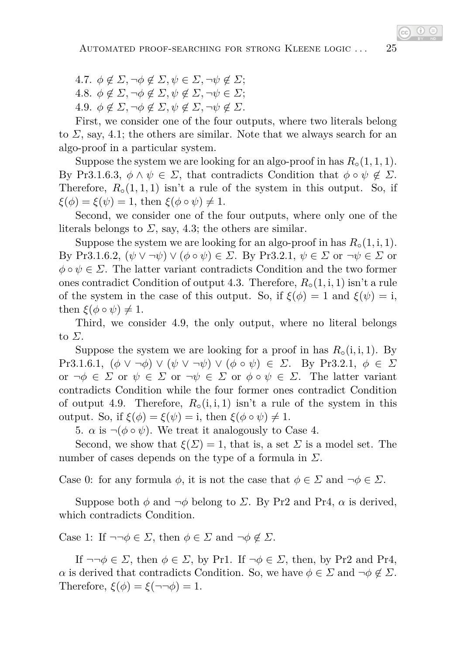$4.7. \phi \notin \Sigma$ ,  $\neg \phi \notin \Sigma$ ,  $\psi \in \Sigma$ ,  $\neg \psi \notin \Sigma$ ; 4.8.  $\phi \notin \Sigma$ ,  $\neg \phi \notin \Sigma$ ,  $\psi \notin \Sigma$ ,  $\neg \psi \in \Sigma$ ; 4.9.  $\phi \notin \Sigma$ ,  $\neg \phi \notin \Sigma$ ,  $\psi \notin \Sigma$ ,  $\neg \psi \notin \Sigma$ .

First, we consider one of the four outputs, where two literals belong to  $\Sigma$ , say, 4.1; the others are similar. Note that we always search for an algo-proof in a particular system.

Suppose the system we are looking for an algo-proof in has  $R<sub>o</sub>(1, 1, 1)$ . By Pr3.1.6.3,  $\phi \wedge \psi \in \Sigma$ , that contradicts Condition that  $\phi \circ \psi \notin \Sigma$ . Therefore,  $R_{\circ}(1,1,1)$  isn't a rule of the system in this output. So, if  $\xi(\phi) = \xi(\psi) = 1$ , then  $\xi(\phi \circ \psi) \neq 1$ .

Second, we consider one of the four outputs, where only one of the literals belongs to  $\Sigma$ , say, 4.3; the others are similar.

Suppose the system we are looking for an algo-proof in has  $R_{\circ}(1, i, 1)$ . By Pr3.1.6.2,  $(\psi \vee \neg \psi) \vee (\phi \circ \psi) \in \Sigma$ . By Pr3.2.1,  $\psi \in \Sigma$  or  $\neg \psi \in \Sigma$  or  $\phi \circ \psi \in \Sigma$ . The latter variant contradicts Condition and the two former ones contradict Condition of output 4.3. Therefore, *R*◦(1*,* i*,* 1) isn't a rule of the system in the case of this output. So, if  $\xi(\phi) = 1$  and  $\xi(\psi) = i$ , then  $\xi(\phi \circ \psi) \neq 1$ .

Third, we consider 4.9, the only output, where no literal belongs to *Σ*.

Suppose the system we are looking for a proof in has  $R_{\circ}(i, i, 1)$ . By Pr3.1.6.1,  $(\phi \vee \neg \phi) \vee (\psi \vee \neg \psi) \vee (\phi \circ \psi) \in \Sigma$ . By Pr3.2.1,  $\phi \in \Sigma$ or  $\neg \phi \in \Sigma$  or  $\psi \in \Sigma$  or  $\neg \psi \in \Sigma$  or  $\phi \circ \psi \in \Sigma$ . The latter variant contradicts Condition while the four former ones contradict Condition of output 4.9. Therefore,  $R_{\circ}(i, i, 1)$  isn't a rule of the system in this output. So, if  $ξ(φ) = ξ(ψ) = i$ , then  $ξ(φ ∘ ψ) ≠ 1$ .

5.  $\alpha$  is  $\neg$ ( $\phi \circ \psi$ ). We treat it analogously to Case 4.

Second, we show that  $\xi(\Sigma) = 1$ , that is, a set  $\Sigma$  is a model set. The number of cases depends on the type of a formula in *Σ*.

Case 0: for any formula  $\phi$ , it is not the case that  $\phi \in \Sigma$  and  $\neg \phi \in \Sigma$ .

Suppose both  $\phi$  and  $\neg \phi$  belong to *Σ*. By Pr2 and Pr4,  $\alpha$  is derived, which contradicts Condition.

Case 1: If  $\neg\neg \phi \in \Sigma$ , then  $\phi \in \Sigma$  and  $\neg \phi \notin \Sigma$ .

If  $\neg\neg\phi \in \Sigma$ , then  $\phi \in \Sigma$ , by Pr1. If  $\neg\phi \in \Sigma$ , then, by Pr2 and Pr4, *α* is derived that contradicts Condition. So, we have  $\phi \in \Sigma$  and  $\neg \phi \notin \Sigma$ . Therefore,  $\xi(\phi) = \xi(\neg\neg\phi) = 1$ .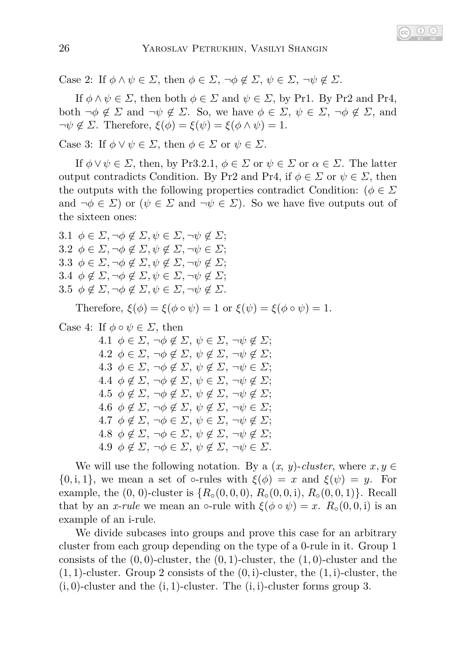Case 2: If  $\phi \land \psi \in \Sigma$ , then  $\phi \in \Sigma$ ,  $\neg \phi \notin \Sigma$ ,  $\psi \in \Sigma$ ,  $\neg \psi \notin \Sigma$ .

If  $\phi \land \psi \in \Sigma$ , then both  $\phi \in \Sigma$  and  $\psi \in \Sigma$ , by Pr1. By Pr2 and Pr4, both  $\neg \phi \notin \Sigma$  and  $\neg \psi \notin \Sigma$ . So, we have  $\phi \in \Sigma$ ,  $\psi \in \Sigma$ ,  $\neg \phi \notin \Sigma$ , and  $\neg \psi \notin \Sigma$ . Therefore,  $\xi(\phi) = \xi(\psi) = \xi(\phi \wedge \psi) = 1$ .

Case 3: If  $\phi \lor \psi \in \Sigma$ , then  $\phi \in \Sigma$  or  $\psi \in \Sigma$ .

If  $\phi \lor \psi \in \Sigma$ , then, by Pr3.2.1,  $\phi \in \Sigma$  or  $\psi \in \Sigma$  or  $\alpha \in \Sigma$ . The latter output contradicts Condition. By Pr2 and Pr4, if  $\phi \in \Sigma$  or  $\psi \in \Sigma$ , then the outputs with the following properties contradict Condition: ( $\phi \in \Sigma$ and  $\neg \phi \in \Sigma$  or  $(\psi \in \Sigma \text{ and } \neg \psi \in \Sigma)$ . So we have five outputs out of the sixteen ones:

3.1  $\phi \in \Sigma$ ,  $\neg \phi \notin \Sigma$ ,  $\psi \in \Sigma$ ,  $\neg \psi \notin \Sigma$ ; 3.2  $\phi \in \Sigma$ ,  $\neg \phi \notin \Sigma$ ,  $\psi \notin \Sigma$ ,  $\neg \psi \in \Sigma$ ; 3.3  $\phi \in \Sigma$ ,  $\neg \phi \notin \Sigma$ ,  $\psi \notin \Sigma$ ,  $\neg \psi \notin \Sigma$ ; 3.4  $\phi \notin \Sigma$ ,  $\neg \phi \notin \Sigma$ ,  $\psi \in \Sigma$ ,  $\neg \psi \notin \Sigma$ ; 3.5  $\phi \notin \Sigma$ ,  $\neg \phi \notin \Sigma$ ,  $\psi \in \Sigma$ ,  $\neg \psi \notin \Sigma$ .

Therefore,  $\xi(\phi) = \xi(\phi \circ \psi) = 1$  or  $\xi(\psi) = \xi(\phi \circ \psi) = 1$ .

Case 4: If  $\phi \circ \psi \in \Sigma$ , then

4.1  $\phi \in \Sigma$ ,  $\neg \phi \notin \Sigma$ ,  $\psi \in \Sigma$ ,  $\neg \psi \notin \Sigma$ ;  $4.2 \phi \in \Sigma$ ,  $\neg \phi \notin \Sigma$ ,  $\psi \notin \Sigma$ ,  $\neg \psi \notin \Sigma$ ;  $4.3 \phi \in \Sigma$ ,  $\neg \phi \notin \Sigma$ ,  $\psi \notin \Sigma$ ,  $\neg \psi \in \Sigma$ ;  $4.4 \phi \notin \Sigma$ ,  $\neg \phi \notin \Sigma$ ,  $\psi \in \Sigma$ ,  $\neg \psi \notin \Sigma$ ;  $4.5 \phi \notin \Sigma$ ,  $\neg \phi \notin \Sigma$ ,  $\psi \notin \Sigma$ ,  $\neg \psi \notin \Sigma$ ;  $4.6 \phi \notin \Sigma$ ,  $\neg \phi \notin \Sigma$ ,  $\psi \notin \Sigma$ ,  $\neg \psi \in \Sigma$ ;  $4.7 \phi \notin \Sigma$ ,  $\neg \phi \in \Sigma$ ,  $\psi \in \Sigma$ ,  $\neg \psi \notin \Sigma$ ;  $4.8 \phi \notin \Sigma$ ,  $\neg \phi \in \Sigma$ ,  $\psi \notin \Sigma$ ,  $\neg \psi \notin \Sigma$ ;  $4.9 \phi \notin \Sigma$ ,  $\neg \phi \in \Sigma$ ,  $\psi \notin \Sigma$ ,  $\neg \psi \in \Sigma$ .

We will use the following notation. By a  $(x, y)$ -*cluster*, where  $x, y \in$ {0, i, 1}, we mean a set of  $\circ$ -rules with  $\xi(\phi) = x$  and  $\xi(\psi) = y$ . For example, the  $(0, 0)$ -cluster is  $\{R_0(0, 0, 0), R_0(0, 0, i), R_0(0, 0, 1)\}$ . Recall that by an *x-rule* we mean an  $\circ$ -rule with  $\xi(\phi \circ \psi) = x$ .  $R_{\circ}(0, 0, i)$  is an example of an i-rule.

We divide subcases into groups and prove this case for an arbitrary cluster from each group depending on the type of a 0-rule in it. Group 1 consists of the (0*,* 0)-cluster, the (0*,* 1)-cluster, the (1*,* 0)-cluster and the  $(1,1)$ -cluster. Group 2 consists of the  $(0,i)$ -cluster, the  $(1,i)$ -cluster, the (i*,* 0)-cluster and the (i*,* 1)-cluster. The (i*,* i)-cluster forms group 3.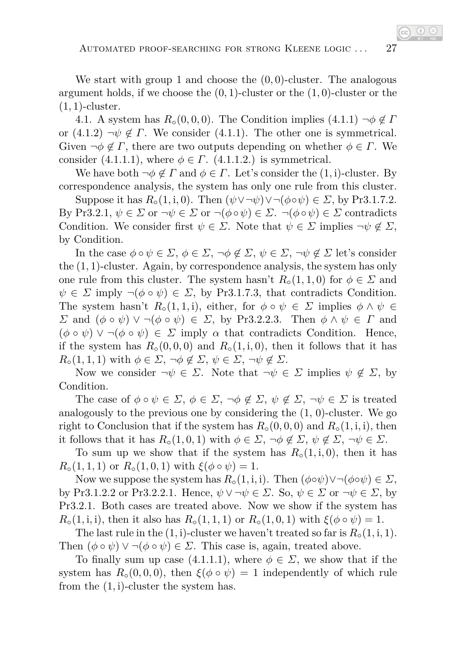We start with group 1 and choose the (0*,* 0)-cluster. The analogous argument holds, if we choose the (0*,* 1)-cluster or the (1*,* 0)-cluster or the (1*,* 1)-cluster.

4.1. A system has  $R_0(0,0,0)$ . The Condition implies  $(4.1.1) \neg \phi \notin \Gamma$ or  $(4.1.2)$   $\neg \psi \notin \Gamma$ . We consider  $(4.1.1)$ . The other one is symmetrical. Given  $\neg \phi \notin \Gamma$ , there are two outputs depending on whether  $\phi \in \Gamma$ . We consider (4.1.1.1), where  $\phi \in \Gamma$ . (4.1.1.2.) is symmetrical.

We have both  $\neg \phi \notin \Gamma$  and  $\phi \in \Gamma$ . Let's consider the  $(1,i)$ -cluster. By correspondence analysis, the system has only one rule from this cluster.

Suppose it has  $R_{\circ}(1, i, 0)$ . Then  $(\psi \lor \neg \psi) \lor \neg (\phi \circ \psi) \in \Sigma$ , by Pr3.1.7.2. By Pr3.2.1, *ψ* ∈ *Σ* or ¬*ψ* ∈ *Σ* or ¬(*φ*◦*ψ*) ∈ *Σ*. ¬(*φ*◦*ψ*) ∈ *Σ* contradicts Condition. We consider first  $\psi \in \Sigma$ . Note that  $\psi \in \Sigma$  implies  $\neg \psi \notin \Sigma$ , by Condition.

In the case  $\phi \circ \psi \in \Sigma$ ,  $\phi \in \Sigma$ ,  $\neg \phi \notin \Sigma$ ,  $\psi \in \Sigma$ ,  $\neg \psi \notin \Sigma$  let's consider the (1*,* 1)-cluster. Again, by correspondence analysis, the system has only one rule from this cluster. The system hasn't  $R_{\text{o}}(1,1,0)$  for  $\phi \in \Sigma$  and  $\psi \in \Sigma$  imply  $\neg(\phi \circ \psi) \in \Sigma$ , by Pr3.1.7.3, that contradicts Condition. The system hasn't  $R_{\circ}(1, 1, i)$ , either, for  $\phi \circ \psi \in \Sigma$  implies  $\phi \wedge \psi \in$ *Σ* and  $(φ ∘ ψ) ∨ ¬(φ ∘ ψ) ∈ Σ$ , by Pr3.2.2.3. Then  $φ ∧ ψ ∈ Γ$  and  $(\phi \circ \psi) \vee \neg (\phi \circ \psi) \in \Sigma$  imply  $\alpha$  that contradicts Condition. Hence, if the system has  $R_{\circ}(0,0,0)$  and  $R_{\circ}(1,i,0)$ , then it follows that it has  $R_{\circ}(1,1,1)$  with  $\phi \in \Sigma$ ,  $\neg \phi \notin \Sigma$ ,  $\psi \in \Sigma$ ,  $\neg \psi \notin \Sigma$ .

Now we consider  $\neg \psi \in \Sigma$ . Note that  $\neg \psi \in \Sigma$  implies  $\psi \notin \Sigma$ , by Condition.

The case of  $\phi \circ \psi \in \Sigma$ ,  $\phi \in \Sigma$ ,  $\neg \phi \notin \Sigma$ ,  $\psi \notin \Sigma$ ,  $\neg \psi \in \Sigma$  is treated analogously to the previous one by considering the  $(1, 0)$ -cluster. We go right to Conclusion that if the system has  $R_0(0,0,0)$  and  $R_0(1,i,i)$ , then it follows that it has  $R_{\circ}(1,0,1)$  with  $\phi \in \Sigma$ ,  $\neg \phi \notin \Sigma$ ,  $\psi \notin \Sigma$ ,  $\neg \psi \in \Sigma$ .

To sum up we show that if the system has  $R<sub>o</sub>(1, i, 0)$ , then it has  $R_{\circ}(1,1,1)$  or  $R_{\circ}(1,0,1)$  with  $\xi(\phi \circ \psi) = 1$ .

Now we suppose the system has  $R_{\circ}(1,i,i)$ . Then  $(\phi \circ \psi) \lor \neg(\phi \circ \psi) \in \Sigma$ , by Pr3.1.2.2 or Pr3.2.2.1. Hence,  $\psi \vee \neg \psi \in \Sigma$ . So,  $\psi \in \Sigma$  or  $\neg \psi \in \Sigma$ , by Pr3.2.1. Both cases are treated above. Now we show if the system has *R*◦(1*,* i*,* i*)*, then it also has  $R$ ◦(1,1,1) or  $R<del></del> (1$ *,* $0$ *,* $1) with  $\xi(\phi \circ \psi) = 1$ .$ 

The last rule in the  $(1,i)$ -cluster we haven't treated so far is  $R_{\circ}(1,i,1)$ . Then  $(\phi \circ \psi) \vee \neg (\phi \circ \psi) \in \Sigma$ . This case is, again, treated above.

To finally sum up case (4.1.1.1), where  $\phi \in \Sigma$ , we show that if the system has  $R_{\circ}(0,0,0)$ , then  $\xi(\phi \circ \psi) = 1$  independently of which rule from the (1*,* i)-cluster the system has.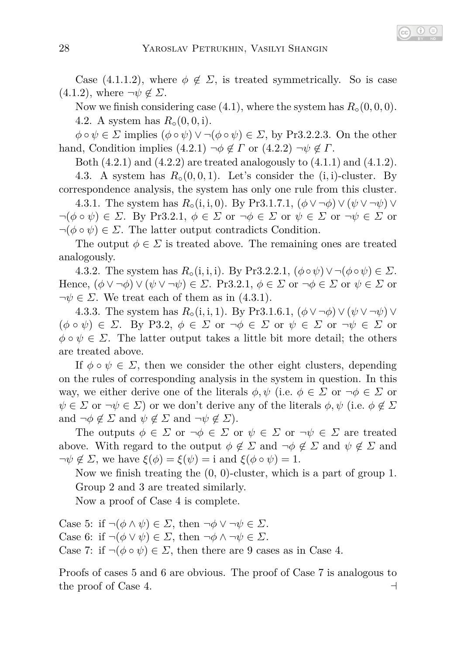Case (4.1.1.2), where  $\phi \notin \Sigma$ , is treated symmetrically. So is case  $(4.1.2)$ , where  $\neg \psi \notin \Sigma$ .

Now we finish considering case  $(4.1)$ , where the system has  $R<sub>o</sub>(0,0,0)$ . 4.2. A system has  $R_0(0,0,1)$ .

 $\phi \circ \psi \in \Sigma$  implies  $(\phi \circ \psi) \vee \neg (\phi \circ \psi) \in \Sigma$ , by Pr3.2.2.3. On the other hand, Condition implies  $(4.2.1)$   $\neg \phi \notin \Gamma$  or  $(4.2.2)$   $\neg \psi \notin \Gamma$ .

Both  $(4.2.1)$  and  $(4.2.2)$  are treated analogously to  $(4.1.1)$  and  $(4.1.2)$ . 4.3. A system has  $R_0(0,0,1)$ . Let's consider the  $(i,i)$ -cluster. By

correspondence analysis, the system has only one rule from this cluster. 4.3.1. The system has  $R_0(i, i, 0)$ . By Pr3.1.7.1,  $(\phi \vee \neg \phi) \vee (\psi \vee \neg \psi) \vee$ 

 $\neg(\phi \circ \psi) \in \Sigma$ . By Pr3.2.1,  $\phi \in \Sigma$  or  $\neg \phi \in \Sigma$  or  $\psi \in \Sigma$  or  $\neg \psi \in \Sigma$  or  $\neg(\phi \circ \psi) \in \Sigma$ . The latter output contradicts Condition.

The output  $\phi \in \Sigma$  is treated above. The remaining ones are treated analogously.

4.3.2. The system has  $R_0(i, i, i)$ . By Pr3.2.2.1,  $(\phi \circ \psi) \lor \neg(\phi \circ \psi) \in \Sigma$ . Hence,  $(\phi \vee \neg \phi) \vee (\psi \vee \neg \psi) \in \Sigma$ . Pr3.2.1,  $\phi \in \Sigma$  or  $\neg \phi \in \Sigma$  or  $\psi \in \Sigma$  or  $\neg \psi \in \Sigma$ . We treat each of them as in (4.3.1).

4.3.3. The system has  $R_{\circ}(i, i, 1)$ . By Pr3.1.6.1,  $(\phi \vee \neg \phi) \vee (\psi \vee \neg \psi) \vee$  $(\phi \circ \psi) \in \Sigma$ . By P3.2,  $\phi \in \Sigma$  or  $\neg \phi \in \Sigma$  or  $\psi \in \Sigma$  or  $\neg \psi \in \Sigma$  or  $\phi \circ \psi \in \Sigma$ . The latter output takes a little bit more detail; the others are treated above.

If  $\phi \circ \psi \in \Sigma$ , then we consider the other eight clusters, depending on the rules of corresponding analysis in the system in question. In this way, we either derive one of the literals  $\phi, \psi$  (i.e.  $\phi \in \Sigma$  or  $\neg \phi \in \Sigma$  or  $\psi \in \Sigma$  or  $\neg \psi \in \Sigma$ ) or we don't derive any of the literals  $\phi, \psi$  (i.e.  $\phi \notin \Sigma$ and  $\neg \phi \notin \Sigma$  and  $\psi \notin \Sigma$  and  $\neg \psi \notin \Sigma$ ).

The outputs  $\phi \in \Sigma$  or  $\neg \phi \in \Sigma$  or  $\psi \in \Sigma$  or  $\neg \psi \in \Sigma$  are treated above. With regard to the output  $\phi \notin \Sigma$  and  $\neg \phi \notin \Sigma$  and  $\psi \notin \Sigma$  and  $\neg \psi \notin \Sigma$ , we have  $\xi(\phi) = \xi(\psi) = i$  and  $\xi(\phi \circ \psi) = 1$ .

Now we finish treating the (0, 0)-cluster, which is a part of group 1. Group 2 and 3 are treated similarly.

Now a proof of Case 4 is complete.

Case 5: if  $\neg(\phi \land \psi) \in \Sigma$ , then  $\neg \phi \lor \neg \psi \in \Sigma$ . Case 6: if  $\neg(\phi \lor \psi) \in \Sigma$ , then  $\neg \phi \land \neg \psi \in \Sigma$ . Case 7: if  $\neg(\phi \circ \psi) \in \Sigma$ , then there are 9 cases as in Case 4.

Proofs of cases 5 and 6 are obvious. The proof of Case 7 is analogous to the proof of Case 4. ⊣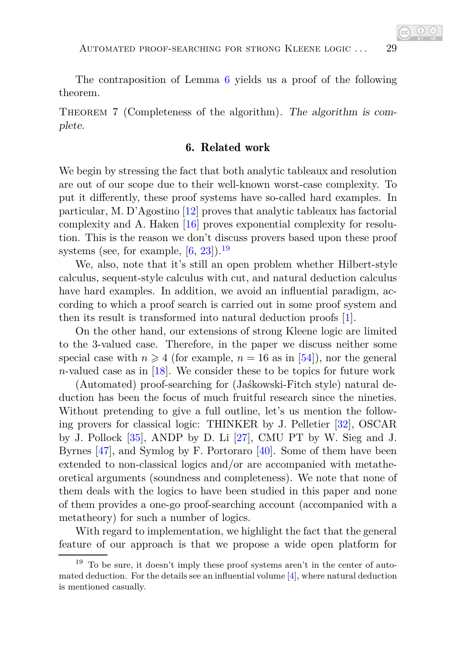The contraposition of Lemma [6](#page-23-0) yields us a proof of the following theorem.

Theorem 7 (Completeness of the algorithm). The algorithm is complete.

#### 6. Related work

We begin by stressing the fact that both analytic tableaux and resolution are out of our scope due to their well-known worst-case complexity. To put it differently, these proof systems have so-called hard examples. In particular, M. D'Agostino [\[12\]](#page-30-2) proves that analytic tableaux has factorial complexity and A. Haken [\[16\]](#page-30-3) proves exponential complexity for resolution. This is the reason we don't discuss provers based upon these proof systems (see, for example,  $[6, 23]$  $[6, 23]$ ).<sup>[19](#page-28-0)</sup>

We, also, note that it's still an open problem whether Hilbert-style calculus, sequent-style calculus with cut, and natural deduction calculus have hard examples. In addition, we avoid an influential paradigm, according to which a proof search is carried out in some proof system and then its result is transformed into natural deduction proofs [\[1\]](#page-29-0).

On the other hand, our extensions of strong Kleene logic are limited to the 3-valued case. Therefore, in the paper we discuss neither some special case with  $n \geq 4$  (for example,  $n = 16$  as in [\[54\]](#page-33-1)), nor the general *n*-valued case as in [\[18\]](#page-31-1). We consider these to be topics for future work

(Automated) proof-searching for (Jaśkowski-Fitch style) natural deduction has been the focus of much fruitful research since the nineties. Without pretending to give a full outline, let's us mention the following provers for classical logic: THINKER by J. Pelletier [\[32\]](#page-32-2), OSCAR by J. Pollock [\[35\]](#page-32-3), ANDP by D. Li [\[27\]](#page-31-2), CMU PT by W. Sieg and J. Byrnes [\[47\]](#page-33-2), and Symlog by F. Portoraro [\[40\]](#page-32-4). Some of them have been extended to non-classical logics and/or are accompanied with metatheoretical arguments (soundness and completeness). We note that none of them deals with the logics to have been studied in this paper and none of them provides a one-go proof-searching account (accompanied with a metatheory) for such a number of logics.

With regard to implementation, we highlight the fact that the general feature of our approach is that we propose a wide open platform for

<span id="page-28-0"></span> $19$  To be sure, it doesn't imply these proof systems aren't in the center of automated deduction. For the details see an influential volume  $[4]$ , where natural deduction is mentioned casually.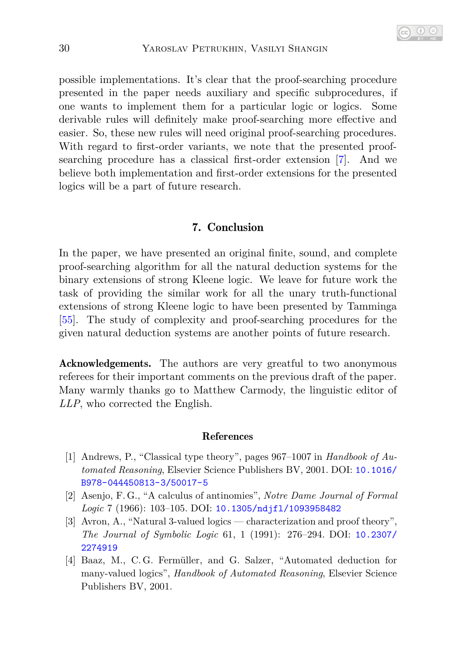possible implementations. It's clear that the proof-searching procedure presented in the paper needs auxiliary and specific subprocedures, if one wants to implement them for a particular logic or logics. Some derivable rules will definitely make proof-searching more effective and easier. So, these new rules will need original proof-searching procedures. With regard to first-order variants, we note that the presented proofsearching procedure has a classical first-order extension [\[7\]](#page-30-5). And we believe both implementation and first-order extensions for the presented logics will be a part of future research.

#### 7. Conclusion

In the paper, we have presented an original finite, sound, and complete proof-searching algorithm for all the natural deduction systems for the binary extensions of strong Kleene logic. We leave for future work the task of providing the similar work for all the unary truth-functional extensions of strong Kleene logic to have been presented by Tamminga [\[55\]](#page-33-0). The study of complexity and proof-searching procedures for the given natural deduction systems are another points of future research.

Acknowledgements. The authors are very greatful to two anonymous referees for their important comments on the previous draft of the paper. Many warmly thanks go to Matthew Carmody, the linguistic editor of *LLP*, who corrected the English.

#### References

- <span id="page-29-0"></span>[1] Andrews, P., "Classical type theory", pages 967–1007 in *Handbook of Automated Reasoning*, Elsevier Science Publishers BV, 2001. DOI: [10.1016/](http://dx.doi.org/10.1016/B978-044450813-3/50017-5) [B978-044450813-3/50017-5](http://dx.doi.org/10.1016/B978-044450813-3/50017-5)
- [2] Asenjo, F. G., "A calculus of antinomies", *Notre Dame Journal of Formal Logic* 7 (1966): 103–105. DOI: [10.1305/ndjfl/1093958482](http://dx.doi.org/10.1305/ndjfl/1093958482)
- [3] Avron, A., "Natural 3-valued logics characterization and proof theory", *The Journal of Symbolic Logic* 61, 1 (1991): 276–294. DOI: [10.2307/](http://dx.doi.org/10.2307/2274919) [2274919](http://dx.doi.org/10.2307/2274919)
- <span id="page-29-1"></span>[4] Baaz, M., C. G. Fermüller, and G. Salzer, "Automated deduction for many-valued logics", *Handbook of Automated Reasoning*, Elsevier Science Publishers BV, 2001.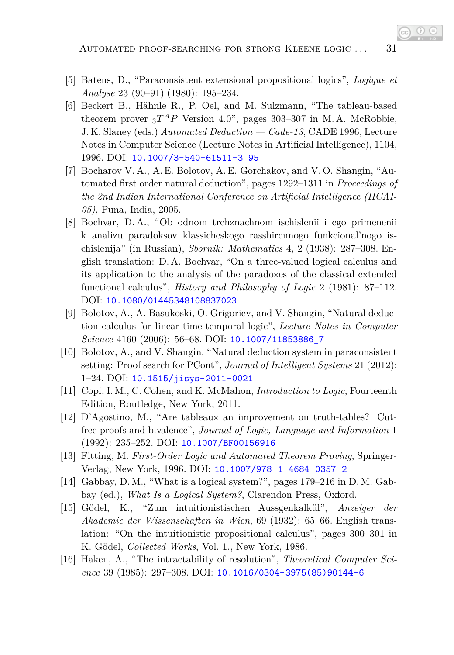- <span id="page-30-4"></span>[5] Batens, D., "Paraconsistent extensional propositional logics", *Logique et Analyse* 23 (90–91) (1980): 195–234.
- [6] Beckert B., Hähnle R., P. Oel, and M. Sulzmann, "The tableau-based theorem prover  ${}_{3}T^{A}P$  Version 4.0", pages 303–307 in M.A. McRobbie, J. K. Slaney (eds.) *Automated Deduction — Cade-13*, CADE 1996, Lecture Notes in Computer Science (Lecture Notes in Artificial Intelligence), 1104, 1996. DOI: [10.1007/3-540-61511-3\\_95](http://dx.doi.org/10.1007/3-540-61511-3_95)
- <span id="page-30-5"></span>[7] Bocharov V. A., A. E. Bolotov, A. E. Gorchakov, and V. O. Shangin, "Automated first order natural deduction", pages 1292–1311 in *Proceedings of the 2nd Indian International Conference on Artificial Intelligence (IICAI-05)*, Puna, India, 2005.
- [8] Bochvar, D. A., "Ob odnom trehznachnom ischislenii i ego primenenii k analizu paradoksov klassicheskogo rasshirennogo funkcional'nogo ischislenija" (in Russian), *Sbornik: Mathematics* 4, 2 (1938): 287–308. English translation: D. A. Bochvar, "On a three-valued logical calculus and its application to the analysis of the paradoxes of the classical extended functional calculus", *History and Philosophy of Logic* 2 (1981): 87–112. DOI: [10.1080/01445348108837023](http://dx.doi.org/10.1080/01445348108837023)
- <span id="page-30-0"></span>[9] Bolotov, A., A. Basukoski, O. Grigoriev, and V. Shangin, "Natural deduction calculus for linear-time temporal logic", *Lecture Notes in Computer Science* 4160 (2006): 56–68. DOI: [10.1007/11853886\\_7](http://dx.doi.org/10.1007/11853886_7)
- <span id="page-30-1"></span>[10] Bolotov, A., and V. Shangin, "Natural deduction system in paraconsistent setting: Proof search for PCont", *Journal of Intelligent Systems* 21 (2012): 1–24. DOI: [10.1515/jisys-2011-0021](http://dx.doi.org/10.1515/jisys-2011-0021)
- <span id="page-30-2"></span>[11] Copi, I. M., C. Cohen, and K. McMahon, *Introduction to Logic*, Fourteenth Edition, Routledge, New York, 2011.
- [12] D'Agostino, M., "Are tableaux an improvement on truth-tables? Cutfree proofs and bivalence", *Journal of Logic, Language and Information* 1 (1992): 235–252. DOI: [10.1007/BF00156916](http://dx.doi.org/10.1007/BF00156916)
- [13] Fitting, M. *First-Order Logic and Automated Theorem Proving*, Springer-Verlag, New York, 1996. DOI: [10.1007/978-1-4684-0357-2](http://dx.doi.org/10.1007/978-1-4684-0357-2)
- [14] Gabbay, D. M., "What is a logical system?", pages 179–216 in D. M. Gabbay (ed.), *What Is a Logical System?*, Clarendon Press, Oxford.
- [15] Gödel, K., "Zum intuitionistischen Aussgenkalkül", *Anzeiger der Akademie der Wissenschaften in Wien*, 69 (1932): 65–66. English translation: "On the intuitionistic propositional calculus", pages 300–301 in K. Gödel, *Collected Works*, Vol. 1., New York, 1986.
- <span id="page-30-3"></span>[16] Haken, A., "The intractability of resolution", *Theoretical Computer Science* 39 (1985): 297–308. DOI: [10.1016/0304-3975\(85\)90144-6](http://dx.doi.org/10.1016/0304-3975(85)90144-6)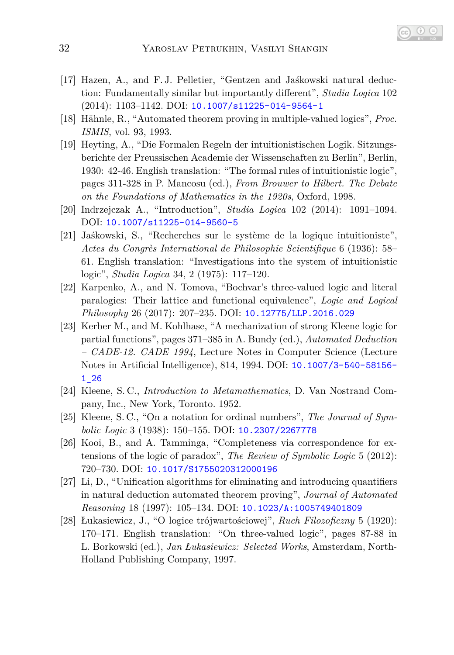- [17] Hazen, A., and F. J. Pelletier, "Gentzen and Jaśkowski natural deduction: Fundamentally similar but importantly different", *Studia Logica* 102 (2014): 1103–1142. DOI: [10.1007/s11225-014-9564-1](http://dx.doi.org/10.1007/s11225-014-9564-1)
- <span id="page-31-1"></span>[18] Hähnle, R., "Automated theorem proving in multiple-valued logics", *Proc. ISMIS*, vol. 93, 1993.
- [19] Heyting, A., "Die Formalen Regeln der intuitionistischen Logik. Sitzungsberichte der Preussischen Academie der Wissenschaften zu Berlin", Berlin, 1930: 42-46. English translation: "The formal rules of intuitionistic logic", pages 311-328 in P. Mancosu (ed.), *From Brouwer to Hilbert. The Debate on the Foundations of Mathematics in the 1920s*, Oxford, 1998.
- [20] Indrzejczak A., "Introduction", *Studia Logica* 102 (2014): 1091–1094. DOI: [10.1007/s11225-014-9560-5](http://dx.doi.org/10.1007/s11225-014-9560-5)
- [21] Jaśkowski, S., "Recherches sur le système de la logique intuitioniste", *Actes du Congrès International de Philosophie Scientifique* 6 (1936): 58– 61. English translation: "Investigations into the system of intuitionistic logic", *Studia Logica* 34, 2 (1975): 117–120.
- [22] Karpenko, A., and N. Tomova, "Bochvar's three-valued logic and literal paralogics: Their lattice and functional equivalence", *Logic and Logical Philosophy* 26 (2017): 207–235. DOI: [10.12775/LLP.2016.029](http://dx.doi.org/10.12775/LLP.2016.029)
- <span id="page-31-0"></span>[23] Kerber M., and M. Kohlhase, "A mechanization of strong Kleene logic for partial functions", pages 371–385 in A. Bundy (ed.), *Automated Deduction – CADE-12. CADE 1994*, Lecture Notes in Computer Science (Lecture Notes in Artificial Intelligence), 814, 1994. DOI: [10.1007/3-540-58156-](http://dx.doi.org/10.1007/3-540-58156-1_26) [1\\_26](http://dx.doi.org/10.1007/3-540-58156-1_26)
- [24] Kleene, S. C., *Introduction to Metamathematics*, D. Van Nostrand Company, Inc., New York, Toronto. 1952.
- [25] Kleene, S. C., "On a notation for ordinal numbers", *The Journal of Symbolic Logic* 3 (1938): 150–155. DOI: [10.2307/2267778](http://dx.doi.org/10.2307/2267778)
- [26] Kooi, B., and A. Tamminga, "Completeness via correspondence for extensions of the logic of paradox", *The Review of Symbolic Logic* 5 (2012): 720–730. DOI: [10.1017/S1755020312000196](http://dx.doi.org/10.1017/S1755020312000196)
- <span id="page-31-2"></span>[27] Li, D., "Unification algorithms for eliminating and introducing quantifiers in natural deduction automated theorem proving", *Journal of Automated Reasoning* 18 (1997): 105–134. DOI: [10.1023/A:1005749401809](http://dx.doi.org/10.1023/A:1005749401809)
- [28] Łukasiewicz, J., "O logice trójwartościowej", *Ruch Filozoficzny* 5 (1920): 170–171. English translation: "On three-valued logic", pages 87-88 in L. Borkowski (ed.), *Jan Łukasiewicz: Selected Works*, Amsterdam, North-Holland Publishing Company, 1997.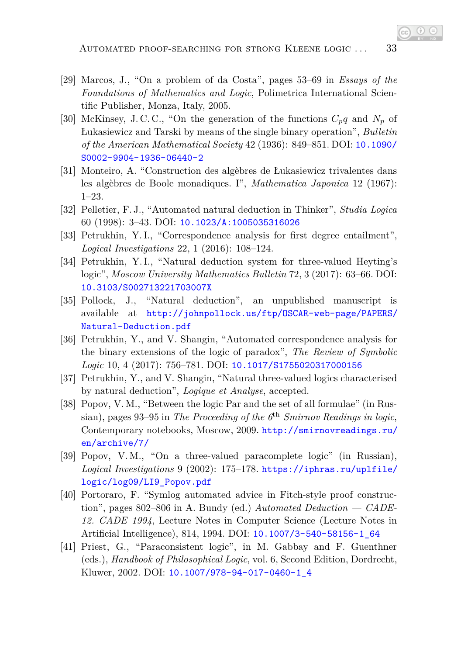- [29] Marcos, J., "On a problem of da Costa", pages 53–69 in *Essays of the Foundations of Mathematics and Logic*, Polimetrica International Scientific Publisher, Monza, Italy, 2005.
- [30] McKinsey, J. C. C., "On the generation of the functions *Cpq* and *N<sup>p</sup>* of Łukasiewicz and Tarski by means of the single binary operation", *Bulletin of the American Mathematical Society* 42 (1936): 849–851. DOI: [10.1090/](http://dx.doi.org/10.1090/S0002-9904-1936-06440-2) [S0002-9904-1936-06440-2](http://dx.doi.org/10.1090/S0002-9904-1936-06440-2)
- [31] Monteiro, A. "Construction des algèbres de Łukasiewicz trivalentes dans les algèbres de Boole monadiques. I", *Mathematica Japonica* 12 (1967): 1–23.
- <span id="page-32-2"></span>[32] Pelletier, F. J., "Automated natural deduction in Thinker", *Studia Logica* 60 (1998): 3–43. DOI: [10.1023/A:1005035316026](http://dx.doi.org/10.1023/A:1005035316026)
- [33] Petrukhin, Y. I., "Correspondence analysis for first degree entailment", *Logical Investigations* 22, 1 (2016): 108–124.
- [34] Petrukhin, Y. I., "Natural deduction system for three-valued Heyting's logic", *Moscow University Mathematics Bulletin* 72, 3 (2017): 63–66. DOI: [10.3103/S002713221703007X](http://dx.doi.org/10.3103/S002713221703007X)
- <span id="page-32-3"></span>[35] Pollock, J., "Natural deduction", an unpublished manuscript is available at [http://johnpollock.us/ftp/OSCAR-web-page/PAPERS/](http://johnpollock.us/ftp/OSCAR-web-page/PAPERS/ Natural-Deduction.pdf) [Natural-Deduction.pdf](http://johnpollock.us/ftp/OSCAR-web-page/PAPERS/ Natural-Deduction.pdf)
- <span id="page-32-1"></span>[36] Petrukhin, Y., and V. Shangin, "Automated correspondence analysis for the binary extensions of the logic of paradox", *The Review of Symbolic Logic* 10, 4 (2017): 756–781. DOI: [10.1017/S1755020317000156](http://dx.doi.org/10.1017/S1755020317000156)
- [37] Petrukhin, Y., and V. Shangin, "Natural three-valued logics characterised by natural deduction", *Logique et Analyse*, accepted.
- [38] Popov, V. M., "Between the logic Par and the set of all formulae" (in Russian), pages 93–95 in *The Proceeding of the 6*th *Smirnov Readings in logic*, Contemporary notebooks, Moscow, 2009. [http://smirnovreadings.ru/](http://smirnovreadings.ru /en/archive/7/) [en/archive/7/](http://smirnovreadings.ru /en/archive/7/)
- [39] Popov, V. M., "On a three-valued paracomplete logic" (in Russian), *Logical Investigations* 9 (2002): 175–178. [https://iphras.ru/uplfile/](https://iphras.ru/uplfile/logic/log09/LI9_Popov.pdf) [logic/log09/LI9\\_Popov.pdf](https://iphras.ru/uplfile/logic/log09/LI9_Popov.pdf)
- <span id="page-32-4"></span>[40] Portoraro, F. "Symlog automated advice in Fitch-style proof construction", pages 802–806 in A. Bundy (ed.) *Automated Deduction — CADE-12. CADE 1994*, Lecture Notes in Computer Science (Lecture Notes in Artificial Intelligence), 814, 1994. DOI: [10.1007/3-540-58156-1\\_64](http://dx.doi.org/10.1007/3-540-58156-1_64)
- <span id="page-32-0"></span>[41] Priest, G., "Paraconsistent logic", in M. Gabbay and F. Guenthner (eds.), *Handbook of Philosophical Logic*, vol. 6, Second Edition, Dordrecht, Kluwer, 2002. DOI: [10.1007/978-94-017-0460-1\\_4](http://dx.doi.org/10.1007/978-94-017-0460-1_4)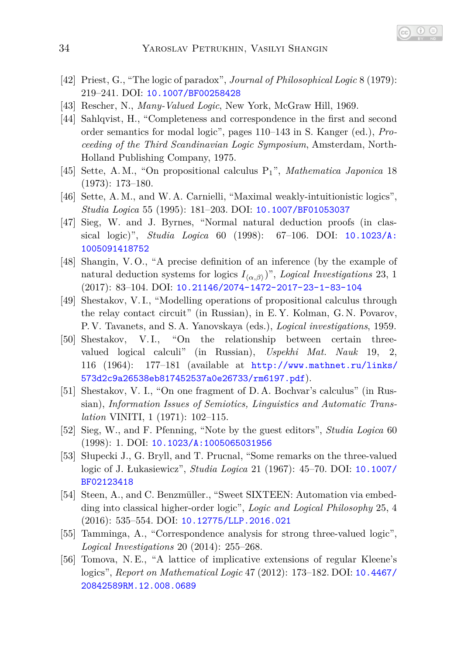- [42] Priest, G., "The logic of paradox", *Journal of Philosophical Logic* 8 (1979): 219–241. DOI: [10.1007/BF00258428](http://dx.doi.org/10.1007/BF00258428)
- [43] Rescher, N., *Many-Valued Logic*, New York, McGraw Hill, 1969.
- [44] Sahlqvist, H., "Completeness and correspondence in the first and second order semantics for modal logic", pages 110–143 in S. Kanger (ed.), *Proceeding of the Third Scandinavian Logic Symposium*, Amsterdam, North-Holland Publishing Company, 1975.
- [45] Sette, A. M., "On propositional calculus P1", *Mathematica Japonica* 18 (1973): 173–180.
- <span id="page-33-2"></span>[46] Sette, A. M., and W. A. Carnielli, "Maximal weakly-intuitionistic logics", *Studia Logica* 55 (1995): 181–203. DOI: [10.1007/BF01053037](http://dx.doi.org/10.1007/BF01053037)
- [47] Sieg, W. and J. Byrnes, "Normal natural deduction proofs (in classical logic)", *Studia Logica* 60 (1998): 67–106. DOI: [10.1023/A:](http://dx.doi.org/10.1023/A:1005091418752) [1005091418752](http://dx.doi.org/10.1023/A:1005091418752)
- [48] Shangin, V. O., "A precise definition of an inference (by the example of natural deduction systems for logics  $I_{\langle \alpha,\beta \rangle}$ ", *Logical Investigations* 23, 1 (2017): 83–104. DOI: [10.21146/2074-1472-2017-23-1-83-104](http://dx.doi.org/10.21146/2074-1472-2017-23-1-83-104)
- [49] Shestakov, V. I., "Modelling operations of propositional calculus through the relay contact circuit" (in Russian), in E. Y. Kolman, G. N. Povarov, P. V. Tavanets, and S. A. Yanovskaya (eds.), *Logical investigations*, 1959.
- [50] Shestakov, V. I., "On the relationship between certain threevalued logical calculi" (in Russian), *Uspekhi Mat. Nauk* 19, 2, 116 (1964): 177–181 (available at [http://www.mathnet.ru/links/](http://www.mathnet.ru/links/573d2c9a26538eb817452537a0e26733/rm6197.pdf) [573d2c9a26538eb817452537a0e26733/rm6197.pdf](http://www.mathnet.ru/links/573d2c9a26538eb817452537a0e26733/rm6197.pdf)).
- [51] Shestakov, V. I., "On one fragment of D. A. Bochvar's calculus" (in Russian), *Information Issues of Semiotics, Linguistics and Automatic Translation* VINITI, 1 (1971): 102–115.
- [52] Sieg, W., and F. Pfenning, "Note by the guest editors", *Studia Logica* 60 (1998): 1. DOI: [10.1023/A:1005065031956](http://dx.doi.org/10.1023/A:1005065031956)
- [53] Słupecki J., G. Bryll, and T. Prucnal, "Some remarks on the three-valued logic of J. Łukasiewicz", *Studia Logica* 21 (1967): 45–70. DOI: [10.1007/](http://dx.doi.org/10.1007/BF02123418) [BF02123418](http://dx.doi.org/10.1007/BF02123418)
- <span id="page-33-1"></span>[54] Steen, A., and C. Benzmüller., "Sweet SIXTEEN: Automation via embedding into classical higher-order logic", *Logic and Logical Philosophy* 25, 4 (2016): 535–554. DOI: [10.12775/LLP.2016.021](http://dx.doi.org/10.12775/LLP.2016.021)
- <span id="page-33-0"></span>[55] Tamminga, A., "Correspondence analysis for strong three-valued logic", *Logical Investigations* 20 (2014): 255–268.
- [56] Tomova, N. E., "A lattice of implicative extensions of regular Kleene's logics", *Report on Mathematical Logic* 47 (2012): 173–182. DOI: [10.4467/](http://dx.doi.org/10.4467/20842589RM.12.008.0689) [20842589RM.12.008.0689](http://dx.doi.org/10.4467/20842589RM.12.008.0689)